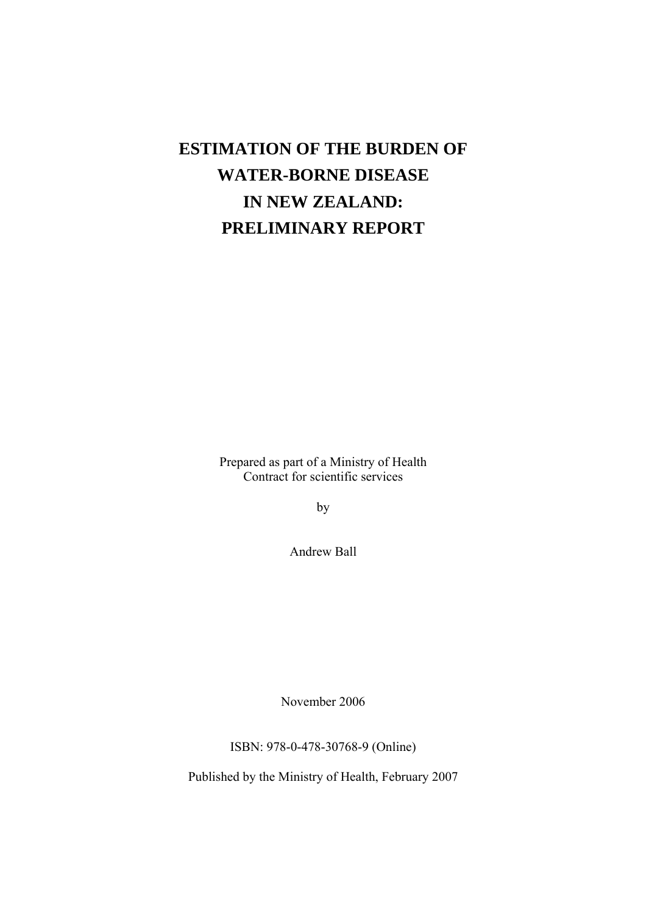# **ESTIMATION OF THE BURDEN OF WATER-BORNE DISEASE IN NEW ZEALAND: PRELIMINARY REPORT**

Prepared as part of a Ministry of Health Contract for scientific services

by

Andrew Ball

November 2006

ISBN: 978-0-478-30768-9 (Online)

Published by the Ministry of Health, February 2007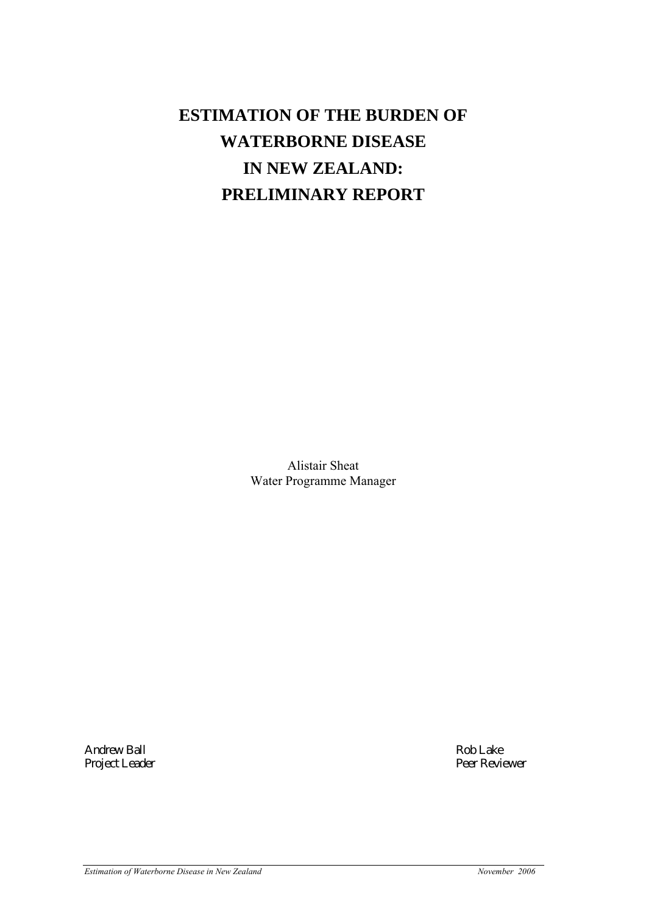# **ESTIMATION OF THE BURDEN OF WATERBORNE DISEASE IN NEW ZEALAND: PRELIMINARY REPORT**

Alistair Sheat Water Programme Manager

Project Leader

Andrew Ball Rob Lake Reviewer (1999) Rob Lake Reviewer (1999) Rob Lake Reviewer (1999) Rob Lake Reviewer (1999)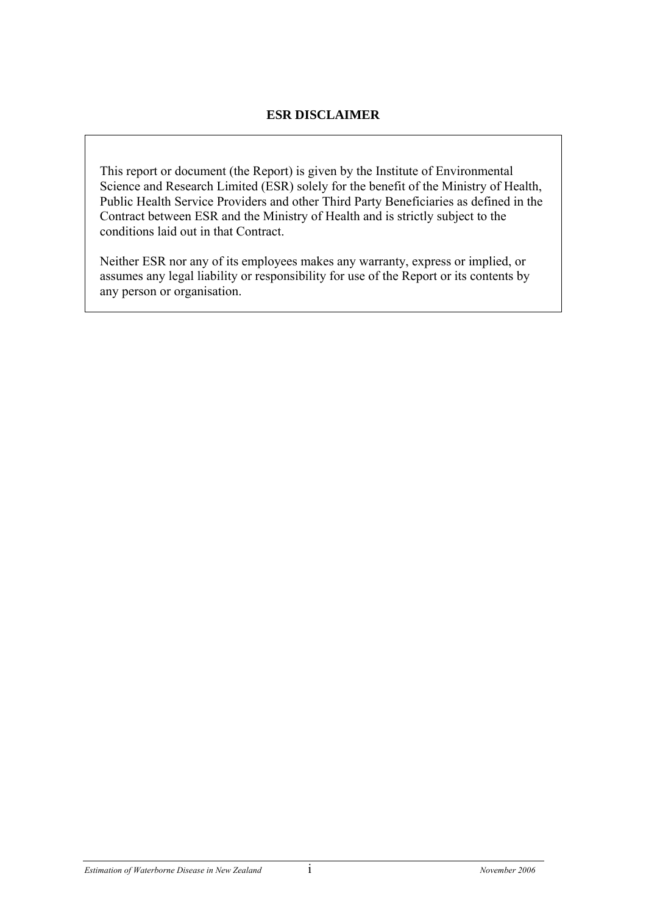## **ESR DISCLAIMER**

This report or document (the Report) is given by the Institute of Environmental Science and Research Limited (ESR) solely for the benefit of the Ministry of Health, Public Health Service Providers and other Third Party Beneficiaries as defined in the Contract between ESR and the Ministry of Health and is strictly subject to the conditions laid out in that Contract.

Neither ESR nor any of its employees makes any warranty, express or implied, or assumes any legal liability or responsibility for use of the Report or its contents by any person or organisation.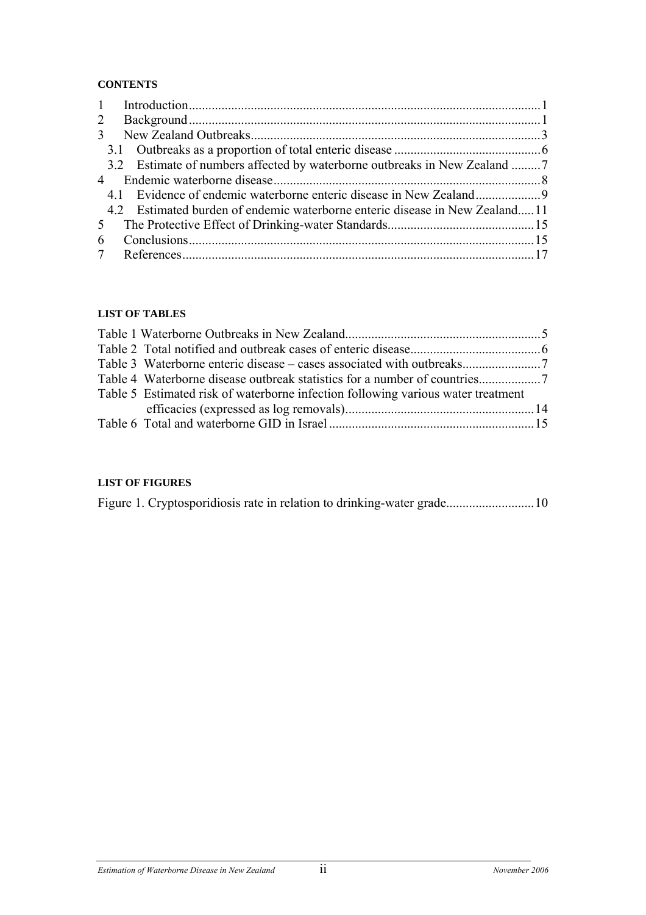#### **CONTENTS**

| $\mathbf{1}$   |                                                                             |  |
|----------------|-----------------------------------------------------------------------------|--|
| $\overline{2}$ |                                                                             |  |
| 3              |                                                                             |  |
|                |                                                                             |  |
|                | 3.2 Estimate of numbers affected by waterborne outbreaks in New Zealand 7   |  |
|                |                                                                             |  |
|                |                                                                             |  |
|                | 4.2 Estimated burden of endemic waterborne enteric disease in New Zealand11 |  |
| 5 <sup>5</sup> |                                                                             |  |
| 6              |                                                                             |  |
|                |                                                                             |  |

#### **LIST OF TABLES**

| Table 5 Estimated risk of waterborne infection following various water treatment |  |
|----------------------------------------------------------------------------------|--|
|                                                                                  |  |
|                                                                                  |  |
|                                                                                  |  |

#### **LIST OF FIGURES**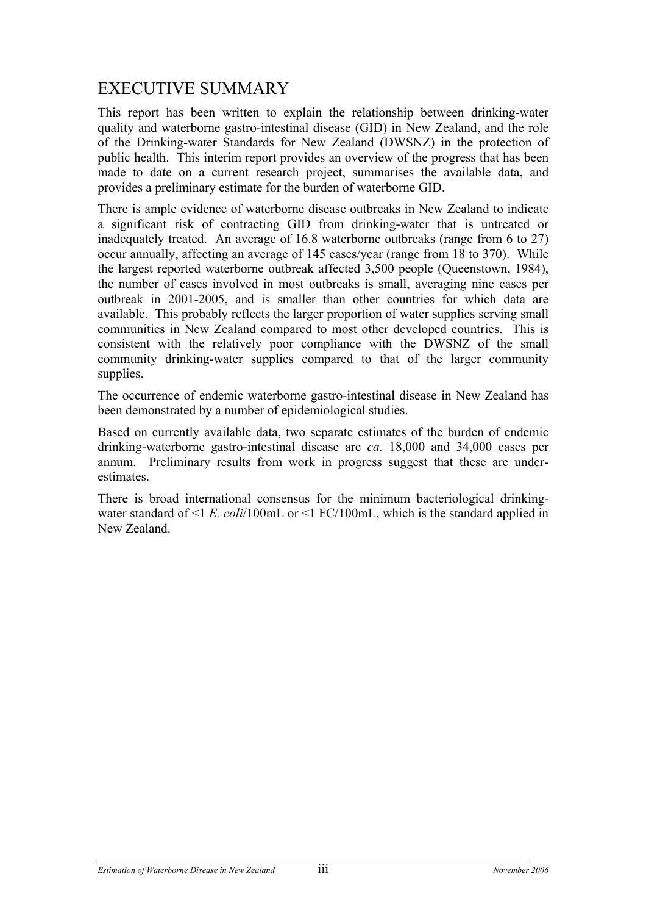# EXECUTIVE SUMMARY

This report has been written to explain the relationship between drinking-water quality and waterborne gastro-intestinal disease (GID) in New Zealand, and the role of the Drinking-water Standards for New Zealand (DWSNZ) in the protection of public health. This interim report provides an overview of the progress that has been made to date on a current research project, summarises the available data, and provides a preliminary estimate for the burden of waterborne GID.

There is ample evidence of waterborne disease outbreaks in New Zealand to indicate a significant risk of contracting GID from drinking-water that is untreated or inadequately treated. An average of 16.8 waterborne outbreaks (range from 6 to 27) occur annually, affecting an average of 145 cases/year (range from 18 to 370). While the largest reported waterborne outbreak affected 3,500 people (Queenstown, 1984), the number of cases involved in most outbreaks is small, averaging nine cases per outbreak in 2001-2005, and is smaller than other countries for which data are available. This probably reflects the larger proportion of water supplies serving small communities in New Zealand compared to most other developed countries. This is consistent with the relatively poor compliance with the DWSNZ of the small community drinking-water supplies compared to that of the larger community supplies.

The occurrence of endemic waterborne gastro-intestinal disease in New Zealand has been demonstrated by a number of epidemiological studies.

Based on currently available data, two separate estimates of the burden of endemic drinking-waterborne gastro-intestinal disease are *ca.* 18,000 and 34,000 cases per annum. Preliminary results from work in progress suggest that these are underestimates.

There is broad international consensus for the minimum bacteriological drinkingwater standard of <1 *E. coli*/100mL or <1 FC/100mL, which is the standard applied in New Zealand.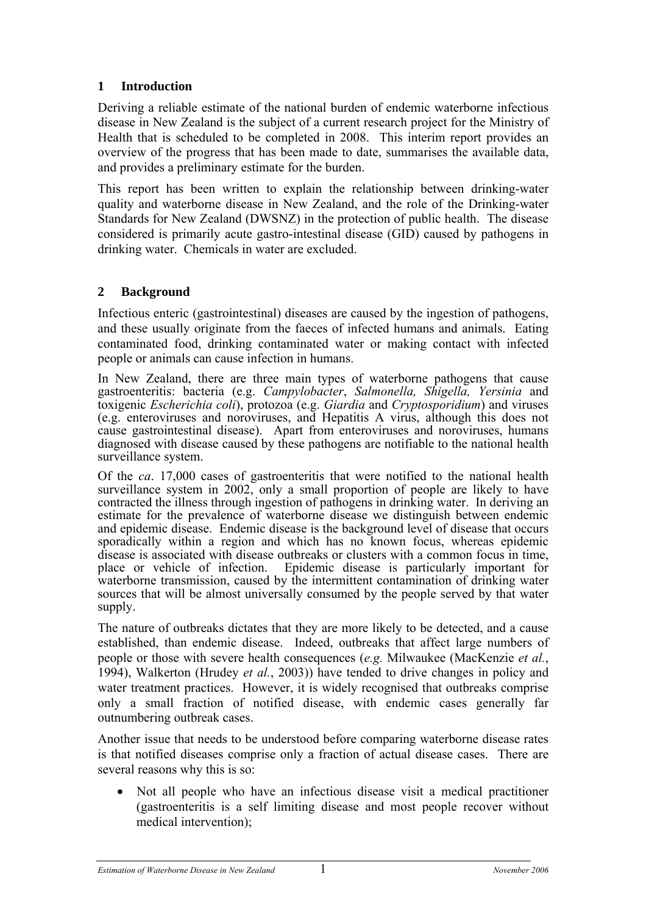# **1 Introduction**

Deriving a reliable estimate of the national burden of endemic waterborne infectious disease in New Zealand is the subject of a current research project for the Ministry of Health that is scheduled to be completed in 2008. This interim report provides an overview of the progress that has been made to date, summarises the available data, and provides a preliminary estimate for the burden.

This report has been written to explain the relationship between drinking-water quality and waterborne disease in New Zealand, and the role of the Drinking-water Standards for New Zealand (DWSNZ) in the protection of public health. The disease considered is primarily acute gastro-intestinal disease (GID) caused by pathogens in drinking water. Chemicals in water are excluded.

## **2 Background**

Infectious enteric (gastrointestinal) diseases are caused by the ingestion of pathogens, and these usually originate from the faeces of infected humans and animals. Eating contaminated food, drinking contaminated water or making contact with infected people or animals can cause infection in humans.

In New Zealand, there are three main types of waterborne pathogens that cause gastroenteritis: bacteria (e.g. *Campylobacter*, *Salmonella, Shigella, Yersinia* and toxigenic *Escherichia coli*), protozoa (e.g. *Giardia* and *Cryptosporidium*) and viruses (e.g. enteroviruses and noroviruses, and Hepatitis A virus, although this does not cause gastrointestinal disease). Apart from enteroviruses and noroviruses, humans diagnosed with disease caused by these pathogens are notifiable to the national health surveillance system.

Of the *ca*. 17,000 cases of gastroenteritis that were notified to the national health surveillance system in 2002, only a small proportion of people are likely to have contracted the illness through ingestion of pathogens in drinking water. In deriving an estimate for the prevalence of waterborne disease we distinguish between endemic and epidemic disease. Endemic disease is the background level of disease that occurs sporadically within a region and which has no known focus, whereas epidemic disease is associated with disease outbreaks or clusters with a common focus in time, place or vehicle of infection. Epidemic disease is particularly important for waterborne transmission, caused by the intermittent contamination of drinking water sources that will be almost universally consumed by the people served by that water supply.

The nature of outbreaks dictates that they are more likely to be detected, and a cause established, than endemic disease. Indeed, outbreaks that affect large numbers of people or those with severe health consequences (*e.g.* Milwaukee (MacKenzie *et al.*, 1994), Walkerton (Hrudey *et al.*, 2003)) have tended to drive changes in policy and water treatment practices. However, it is widely recognised that outbreaks comprise only a small fraction of notified disease, with endemic cases generally far outnumbering outbreak cases.

Another issue that needs to be understood before comparing waterborne disease rates is that notified diseases comprise only a fraction of actual disease cases. There are several reasons why this is so:

• Not all people who have an infectious disease visit a medical practitioner (gastroenteritis is a self limiting disease and most people recover without medical intervention);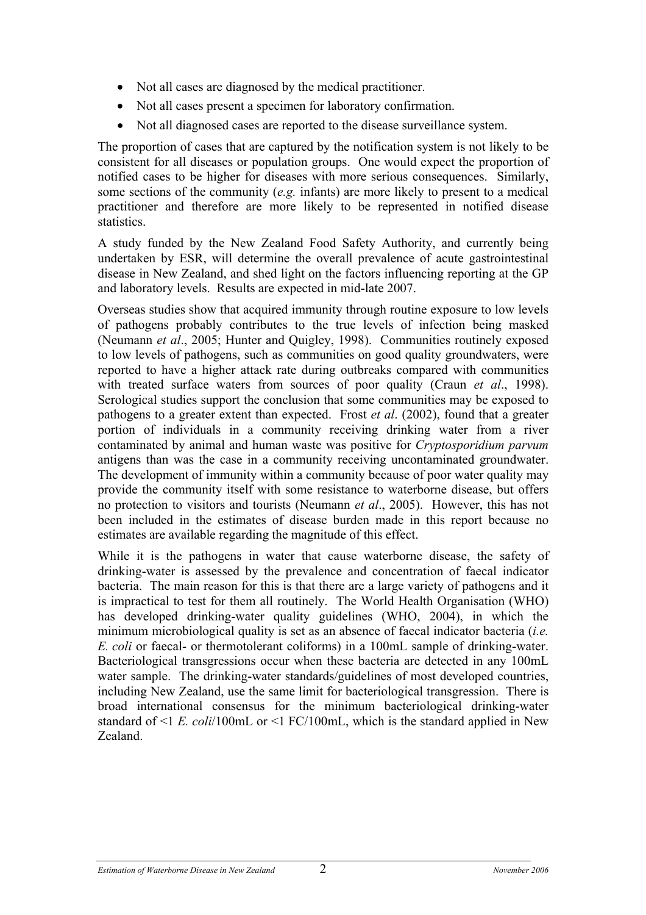- Not all cases are diagnosed by the medical practitioner.
- Not all cases present a specimen for laboratory confirmation.
- Not all diagnosed cases are reported to the disease surveillance system.

The proportion of cases that are captured by the notification system is not likely to be consistent for all diseases or population groups. One would expect the proportion of notified cases to be higher for diseases with more serious consequences. Similarly, some sections of the community (*e.g.* infants) are more likely to present to a medical practitioner and therefore are more likely to be represented in notified disease statistics.

A study funded by the New Zealand Food Safety Authority, and currently being undertaken by ESR, will determine the overall prevalence of acute gastrointestinal disease in New Zealand, and shed light on the factors influencing reporting at the GP and laboratory levels. Results are expected in mid-late 2007.

Overseas studies show that acquired immunity through routine exposure to low levels of pathogens probably contributes to the true levels of infection being masked (Neumann *et al*., 2005; Hunter and Quigley, 1998). Communities routinely exposed to low levels of pathogens, such as communities on good quality groundwaters, were reported to have a higher attack rate during outbreaks compared with communities with treated surface waters from sources of poor quality (Craun *et al*., 1998). Serological studies support the conclusion that some communities may be exposed to pathogens to a greater extent than expected. Frost *et al*. (2002), found that a greater portion of individuals in a community receiving drinking water from a river contaminated by animal and human waste was positive for *Cryptosporidium parvum* antigens than was the case in a community receiving uncontaminated groundwater. The development of immunity within a community because of poor water quality may provide the community itself with some resistance to waterborne disease, but offers no protection to visitors and tourists (Neumann *et al*., 2005). However, this has not been included in the estimates of disease burden made in this report because no estimates are available regarding the magnitude of this effect.

While it is the pathogens in water that cause waterborne disease, the safety of drinking-water is assessed by the prevalence and concentration of faecal indicator bacteria. The main reason for this is that there are a large variety of pathogens and it is impractical to test for them all routinely. The World Health Organisation (WHO) has developed drinking-water quality guidelines (WHO, 2004), in which the minimum microbiological quality is set as an absence of faecal indicator bacteria (*i.e. E. coli* or faecal- or thermotolerant coliforms) in a 100mL sample of drinking-water. Bacteriological transgressions occur when these bacteria are detected in any 100mL water sample. The drinking-water standards/guidelines of most developed countries, including New Zealand, use the same limit for bacteriological transgression. There is broad international consensus for the minimum bacteriological drinking-water standard of <1 *E. coli*/100mL or <1 FC/100mL, which is the standard applied in New Zealand.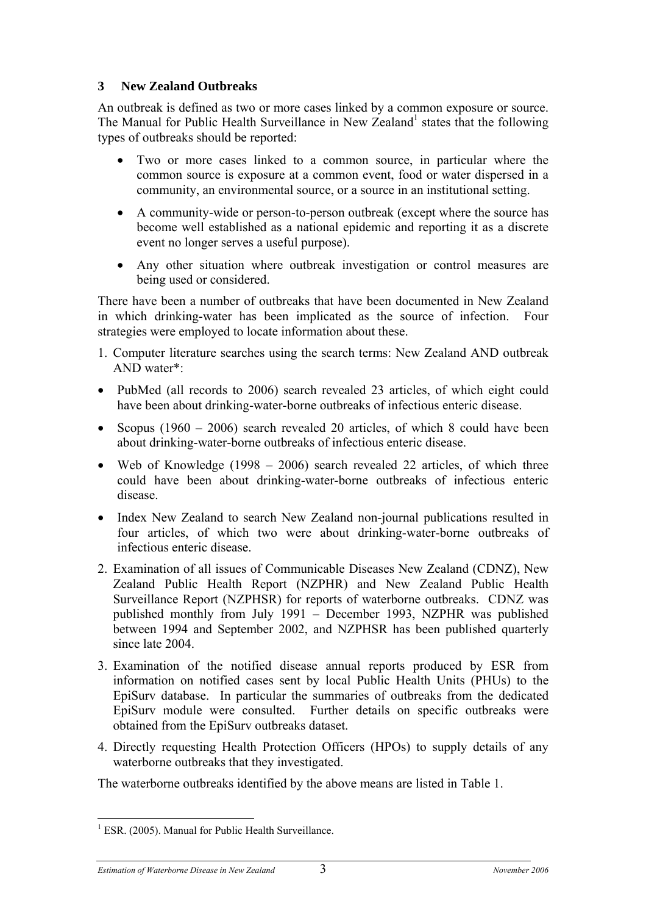## **3 New Zealand Outbreaks**

An outbreak is defined as two or more cases linked by a common exposure or source. The Manual for Public Health Surveillance in New Zealand<sup>1</sup> states that the following types of outbreaks should be reported:

- Two or more cases linked to a common source, in particular where the common source is exposure at a common event, food or water dispersed in a community, an environmental source, or a source in an institutional setting.
- A community-wide or person-to-person outbreak (except where the source has become well established as a national epidemic and reporting it as a discrete event no longer serves a useful purpose).
- Any other situation where outbreak investigation or control measures are being used or considered.

There have been a number of outbreaks that have been documented in New Zealand in which drinking-water has been implicated as the source of infection. Four strategies were employed to locate information about these.

- 1. Computer literature searches using the search terms: New Zealand AND outbreak AND water\*:
- PubMed (all records to 2006) search revealed 23 articles, of which eight could have been about drinking-water-borne outbreaks of infectious enteric disease.
- Scopus (1960 2006) search revealed 20 articles, of which 8 could have been about drinking-water-borne outbreaks of infectious enteric disease.
- Web of Knowledge (1998 2006) search revealed 22 articles, of which three could have been about drinking-water-borne outbreaks of infectious enteric disease.
- Index New Zealand to search New Zealand non-journal publications resulted in four articles, of which two were about drinking-water-borne outbreaks of infectious enteric disease.
- 2. Examination of all issues of Communicable Diseases New Zealand (CDNZ), New Zealand Public Health Report (NZPHR) and New Zealand Public Health Surveillance Report (NZPHSR) for reports of waterborne outbreaks. CDNZ was published monthly from July 1991 – December 1993, NZPHR was published between 1994 and September 2002, and NZPHSR has been published quarterly since late 2004.
- 3. Examination of the notified disease annual reports produced by ESR from information on notified cases sent by local Public Health Units (PHUs) to the EpiSurv database. In particular the summaries of outbreaks from the dedicated EpiSurv module were consulted. Further details on specific outbreaks were obtained from the EpiSurv outbreaks dataset.
- 4. Directly requesting Health Protection Officers (HPOs) to supply details of any waterborne outbreaks that they investigated.

The waterborne outbreaks identified by the above means are listed in Table 1.

 $\overline{a}$ <sup>1</sup> ESR. (2005). Manual for Public Health Surveillance.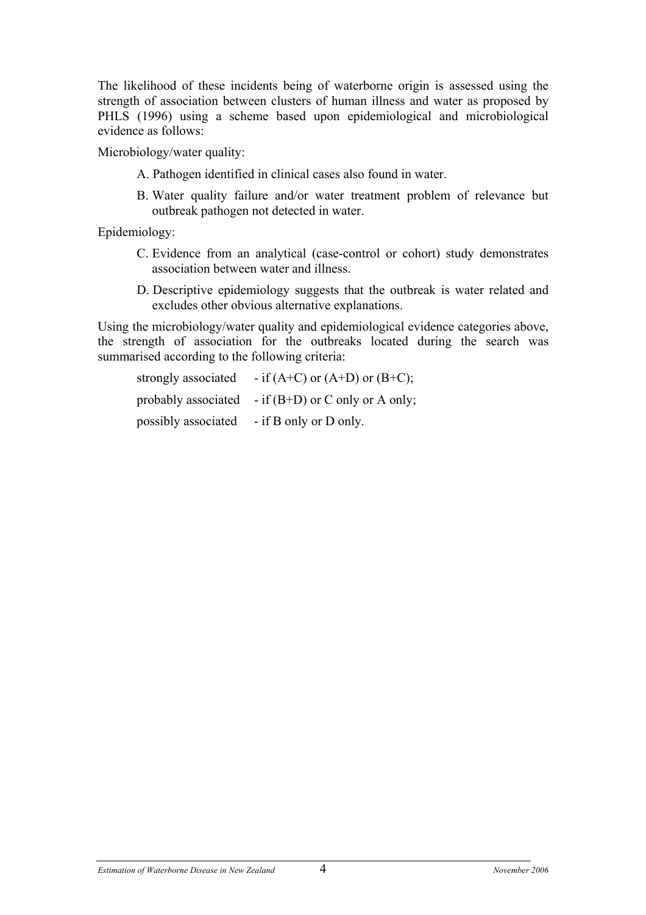The likelihood of these incidents being of waterborne origin is assessed using the strength of association between clusters of human illness and water as proposed by PHLS (1996) using a scheme based upon epidemiological and microbiological evidence as follows:

Microbiology/water quality:

- A. Pathogen identified in clinical cases also found in water.
- B. Water quality failure and/or water treatment problem of relevance but outbreak pathogen not detected in water.

Epidemiology:

- C. Evidence from an analytical (case-control or cohort) study demonstrates association between water and illness.
- D. Descriptive epidemiology suggests that the outbreak is water related and excludes other obvious alternative explanations.

Using the microbiology/water quality and epidemiological evidence categories above, the strength of association for the outbreaks located during the search was summarised according to the following criteria:

| strongly associated | - if $(A+C)$ or $(A+D)$ or $(B+C)$ ;                  |
|---------------------|-------------------------------------------------------|
|                     | probably associated - if $(B+D)$ or C only or A only; |
| possibly associated | - if B only or D only.                                |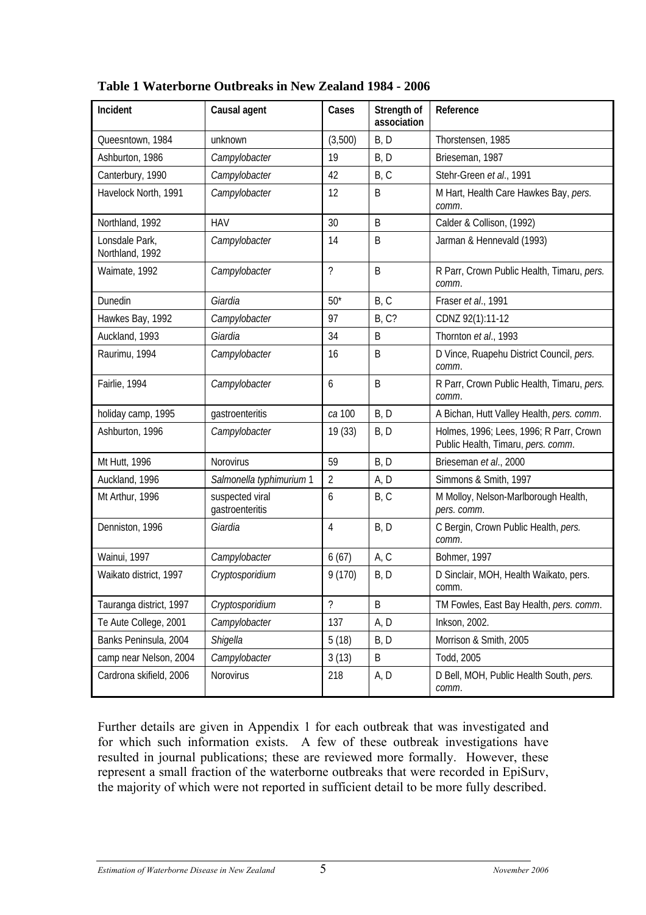| Incident                          | Causal agent                       | Cases          | Strength of  | Reference                                                                     |
|-----------------------------------|------------------------------------|----------------|--------------|-------------------------------------------------------------------------------|
|                                   |                                    |                | association  |                                                                               |
| Queesntown, 1984                  | unknown                            | (3,500)        | B, D         | Thorstensen, 1985                                                             |
| Ashburton, 1986                   | Campylobacter                      | 19             | B, D         | Brieseman, 1987                                                               |
| Canterbury, 1990                  | Campylobacter                      | 42             | B, C         | Stehr-Green et al., 1991                                                      |
| Havelock North, 1991              | Campylobacter                      | 12             | B            | M Hart, Health Care Hawkes Bay, pers.<br>comm.                                |
| Northland, 1992                   | <b>HAV</b>                         | 30             | B            | Calder & Collison, (1992)                                                     |
| Lonsdale Park,<br>Northland, 1992 | Campylobacter                      | 14             | B            | Jarman & Hennevald (1993)                                                     |
| Waimate, 1992                     | Campylobacter                      | ?              | B            | R Parr, Crown Public Health, Timaru, pers.<br>comm.                           |
| Dunedin                           | Giardia                            | $50*$          | B, C         | Fraser et al., 1991                                                           |
| Hawkes Bay, 1992                  | Campylobacter                      | 97             | <b>B, C?</b> | CDNZ 92(1):11-12                                                              |
| Auckland, 1993                    | Giardia                            | 34             | B            | Thornton et al., 1993                                                         |
| Raurimu, 1994                     | Campylobacter                      | 16             | B            | D Vince, Ruapehu District Council, pers.<br>comm.                             |
| Fairlie, 1994                     | Campylobacter                      | 6              | B            | R Parr, Crown Public Health, Timaru, pers.<br>comm.                           |
| holiday camp, 1995                | gastroenteritis                    | ca 100         | B, D         | A Bichan, Hutt Valley Health, pers. comm.                                     |
| Ashburton, 1996                   | Campylobacter                      | 19 (33)        | B, D         | Holmes, 1996; Lees, 1996; R Parr, Crown<br>Public Health, Timaru, pers. comm. |
| Mt Hutt, 1996                     | Norovirus                          | 59             | B, D         | Brieseman et al., 2000                                                        |
| Auckland, 1996                    | Salmonella typhimurium 1           | $\overline{2}$ | A, D         | Simmons & Smith, 1997                                                         |
| Mt Arthur, 1996                   | suspected viral<br>gastroenteritis | 6              | B, C         | M Molloy, Nelson-Marlborough Health,<br>pers. comm.                           |
| Denniston, 1996                   | Giardia                            | 4              | B, D         | C Bergin, Crown Public Health, pers.<br>comm.                                 |
| Wainui, 1997                      | Campylobacter                      | 6(67)          | A, C         | Bohmer, 1997                                                                  |
| Waikato district, 1997            | Cryptosporidium                    | 9 (170)        | B, D         | D Sinclair, MOH, Health Waikato, pers.<br>comm.                               |
| Tauranga district, 1997           | Cryptosporidium                    | $\tilde{?}$    | B            | TM Fowles, East Bay Health, pers. comm.                                       |
| Te Aute College, 2001             | Campylobacter                      | 137            | A, D         | Inkson, 2002.                                                                 |
| Banks Peninsula, 2004             | Shigella                           | 5(18)          | B, D         | Morrison & Smith, 2005                                                        |
| camp near Nelson, 2004            | Campylobacter                      | 3(13)          | B            | Todd, 2005                                                                    |
| Cardrona skifield, 2006           | Norovirus                          | 218            | A, D         | D Bell, MOH, Public Health South, pers.<br>comm.                              |

**Table 1 Waterborne Outbreaks in New Zealand 1984 - 2006** 

Further details are given in Appendix 1 for each outbreak that was investigated and for which such information exists. A few of these outbreak investigations have resulted in journal publications; these are reviewed more formally. However, these represent a small fraction of the waterborne outbreaks that were recorded in EpiSurv, the majority of which were not reported in sufficient detail to be more fully described.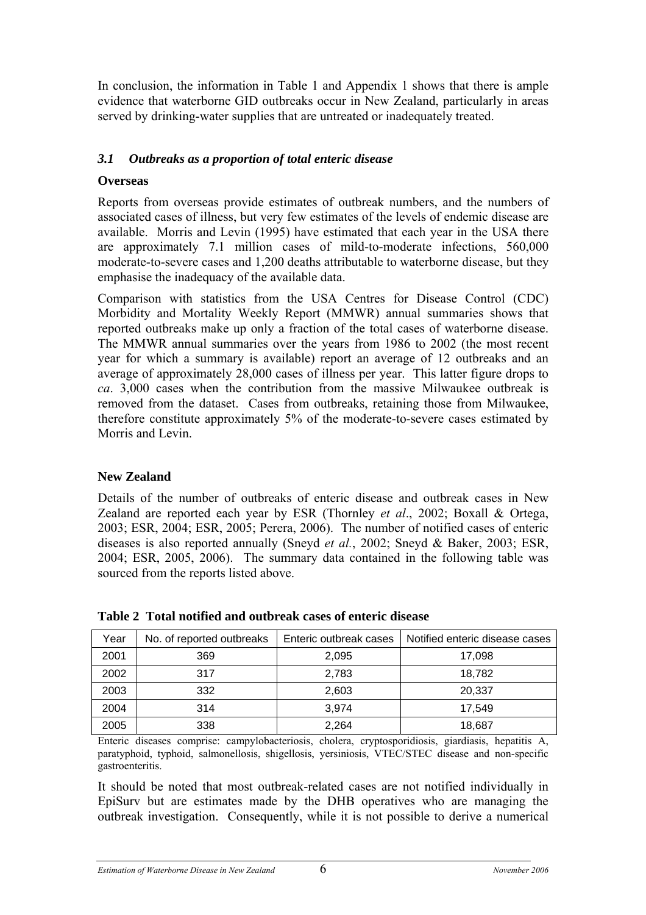In conclusion, the information in Table 1 and Appendix 1 shows that there is ample evidence that waterborne GID outbreaks occur in New Zealand, particularly in areas served by drinking-water supplies that are untreated or inadequately treated.

#### *3.1 Outbreaks as a proportion of total enteric disease*

#### **Overseas**

Reports from overseas provide estimates of outbreak numbers, and the numbers of associated cases of illness, but very few estimates of the levels of endemic disease are available. Morris and Levin (1995) have estimated that each year in the USA there are approximately 7.1 million cases of mild-to-moderate infections, 560,000 moderate-to-severe cases and 1,200 deaths attributable to waterborne disease, but they emphasise the inadequacy of the available data.

Comparison with statistics from the USA Centres for Disease Control (CDC) Morbidity and Mortality Weekly Report (MMWR) annual summaries shows that reported outbreaks make up only a fraction of the total cases of waterborne disease. The MMWR annual summaries over the years from 1986 to 2002 (the most recent year for which a summary is available) report an average of 12 outbreaks and an average of approximately 28,000 cases of illness per year. This latter figure drops to *ca*. 3,000 cases when the contribution from the massive Milwaukee outbreak is removed from the dataset. Cases from outbreaks, retaining those from Milwaukee, therefore constitute approximately 5% of the moderate-to-severe cases estimated by Morris and Levin.

# **New Zealand**

Details of the number of outbreaks of enteric disease and outbreak cases in New Zealand are reported each year by ESR (Thornley *et al*., 2002; Boxall & Ortega, 2003; ESR, 2004; ESR, 2005; Perera, 2006). The number of notified cases of enteric diseases is also reported annually (Sneyd *et al.*, 2002; Sneyd & Baker, 2003; ESR, 2004; ESR, 2005, 2006). The summary data contained in the following table was sourced from the reports listed above.

| Year | No. of reported outbreaks | Enteric outbreak cases | Notified enteric disease cases |
|------|---------------------------|------------------------|--------------------------------|
| 2001 | 369                       | 2,095                  | 17,098                         |
| 2002 | 317                       | 2,783                  | 18,782                         |
| 2003 | 332                       | 2,603                  | 20,337                         |
| 2004 | 314                       | 3.974                  | 17,549                         |
| 2005 | 338                       | 2,264                  | 18,687                         |

# **Table 2 Total notified and outbreak cases of enteric disease**

Enteric diseases comprise: campylobacteriosis, cholera, cryptosporidiosis, giardiasis, hepatitis A, paratyphoid, typhoid, salmonellosis, shigellosis, yersiniosis, VTEC/STEC disease and non-specific gastroenteritis.

It should be noted that most outbreak-related cases are not notified individually in EpiSurv but are estimates made by the DHB operatives who are managing the outbreak investigation. Consequently, while it is not possible to derive a numerical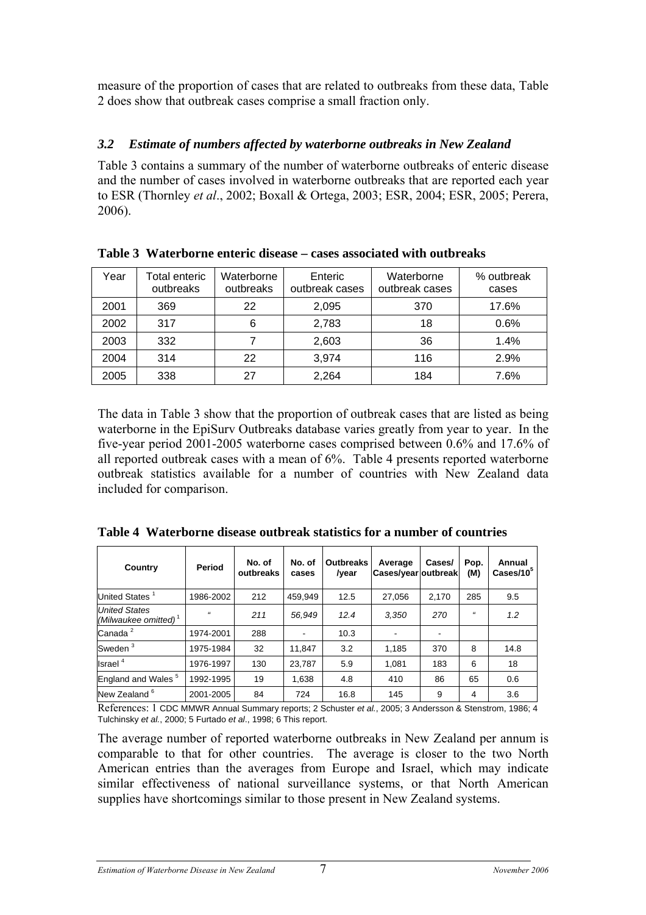measure of the proportion of cases that are related to outbreaks from these data, Table 2 does show that outbreak cases comprise a small fraction only.

## *3.2 Estimate of numbers affected by waterborne outbreaks in New Zealand*

Table 3 contains a summary of the number of waterborne outbreaks of enteric disease and the number of cases involved in waterborne outbreaks that are reported each year to ESR (Thornley *et al*., 2002; Boxall & Ortega, 2003; ESR, 2004; ESR, 2005; Perera, 2006).

| Year | Waterborne<br>Total enteric<br>outbreaks<br>outbreaks |    | Enteric<br>outbreak cases | Waterborne<br>outbreak cases | % outbreak<br>cases |
|------|-------------------------------------------------------|----|---------------------------|------------------------------|---------------------|
| 2001 | 369                                                   | 22 | 2,095                     | 370                          | 17.6%               |
| 2002 | 317                                                   | 6  | 2,783                     | 18                           | 0.6%                |
| 2003 | 332                                                   |    | 2,603                     | 36                           | 1.4%                |
| 2004 | 314                                                   | 22 | 3,974                     | 116                          | 2.9%                |
| 2005 | 338                                                   | 27 | 2,264                     | 184                          | 7.6%                |

**Table 3 Waterborne enteric disease – cases associated with outbreaks** 

The data in Table 3 show that the proportion of outbreak cases that are listed as being waterborne in the EpiSurv Outbreaks database varies greatly from year to year. In the five-year period 2001-2005 waterborne cases comprised between 0.6% and 17.6% of all reported outbreak cases with a mean of 6%. Table 4 presents reported waterborne outbreak statistics available for a number of countries with New Zealand data included for comparison.

| Country                                         | Period     | No. of<br>outbreaks | No. of<br>cases | <b>Outbreaks</b><br>/year | Average<br>Cases/year outbreak | Cases/ | Pop.<br>(M) | Annual<br>$\text{Cases}/10^5$ |
|-------------------------------------------------|------------|---------------------|-----------------|---------------------------|--------------------------------|--------|-------------|-------------------------------|
| United States <sup>1</sup>                      | 1986-2002  | 212                 | 459,949         | 12.5                      | 27,056                         | 2,170  | 285         | 9.5                           |
| <b>United States</b><br>(Milwaukee omitted) $1$ | $\epsilon$ | 211                 | 56,949          | 12.4                      | 3.350                          | 270    | $\epsilon$  | 1.2                           |
| Canada <sup>2</sup>                             | 1974-2001  | 288                 |                 | 10.3                      |                                | ٠      |             |                               |
| Sweden <sup>3</sup>                             | 1975-1984  | 32                  | 11.847          | 3.2                       | 1.185                          | 370    | 8           | 14.8                          |
| Israel $4$                                      | 1976-1997  | 130                 | 23.787          | 5.9                       | 1.081                          | 183    | 6           | 18                            |
| England and Wales <sup>5</sup>                  | 1992-1995  | 19                  | 1,638           | 4.8                       | 410                            | 86     | 65          | 0.6                           |
| New Zealand <sup>6</sup>                        | 2001-2005  | 84                  | 724             | 16.8                      | 145                            | 9      | 4           | 3.6                           |

**Table 4 Waterborne disease outbreak statistics for a number of countries** 

References: 1 CDC MMWR Annual Summary reports; 2 Schuster *et al.*, 2005; 3 Andersson & Stenstrom, 1986; 4 Tulchinsky *et al.*, 2000; 5 Furtado *et al*., 1998; 6 This report.

The average number of reported waterborne outbreaks in New Zealand per annum is comparable to that for other countries. The average is closer to the two North American entries than the averages from Europe and Israel, which may indicate similar effectiveness of national surveillance systems, or that North American supplies have shortcomings similar to those present in New Zealand systems.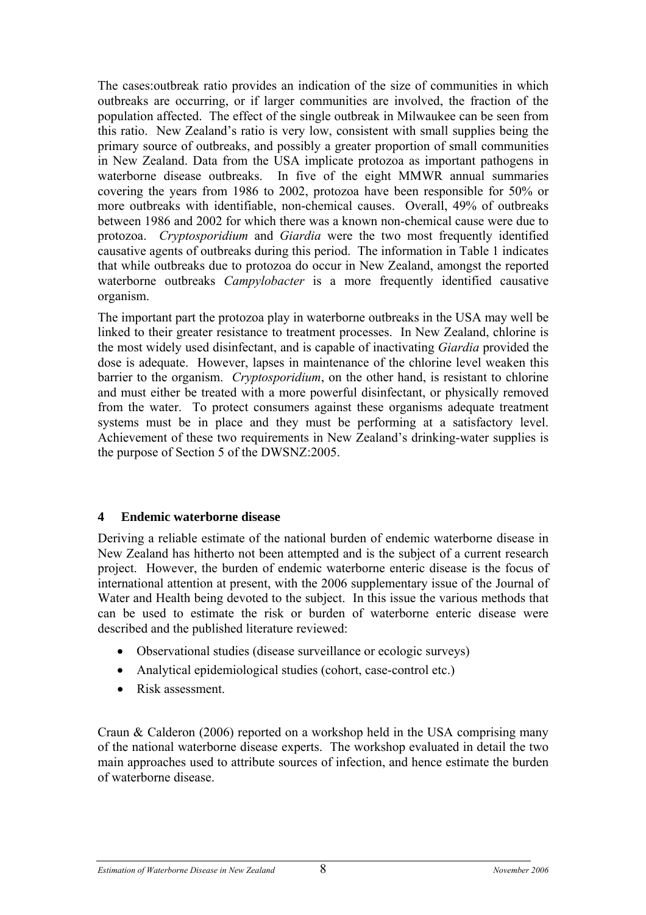The cases:outbreak ratio provides an indication of the size of communities in which outbreaks are occurring, or if larger communities are involved, the fraction of the population affected. The effect of the single outbreak in Milwaukee can be seen from this ratio. New Zealand's ratio is very low, consistent with small supplies being the primary source of outbreaks, and possibly a greater proportion of small communities in New Zealand. Data from the USA implicate protozoa as important pathogens in waterborne disease outbreaks. In five of the eight MMWR annual summaries covering the years from 1986 to 2002, protozoa have been responsible for 50% or more outbreaks with identifiable, non-chemical causes. Overall, 49% of outbreaks between 1986 and 2002 for which there was a known non-chemical cause were due to protozoa. *Cryptosporidium* and *Giardia* were the two most frequently identified causative agents of outbreaks during this period. The information in Table 1 indicates that while outbreaks due to protozoa do occur in New Zealand, amongst the reported waterborne outbreaks *Campylobacter* is a more frequently identified causative organism.

The important part the protozoa play in waterborne outbreaks in the USA may well be linked to their greater resistance to treatment processes. In New Zealand, chlorine is the most widely used disinfectant, and is capable of inactivating *Giardia* provided the dose is adequate. However, lapses in maintenance of the chlorine level weaken this barrier to the organism. *Cryptosporidium*, on the other hand, is resistant to chlorine and must either be treated with a more powerful disinfectant, or physically removed from the water. To protect consumers against these organisms adequate treatment systems must be in place and they must be performing at a satisfactory level. Achievement of these two requirements in New Zealand's drinking-water supplies is the purpose of Section 5 of the DWSNZ:2005.

#### **4 Endemic waterborne disease**

Deriving a reliable estimate of the national burden of endemic waterborne disease in New Zealand has hitherto not been attempted and is the subject of a current research project. However, the burden of endemic waterborne enteric disease is the focus of international attention at present, with the 2006 supplementary issue of the Journal of Water and Health being devoted to the subject. In this issue the various methods that can be used to estimate the risk or burden of waterborne enteric disease were described and the published literature reviewed:

- Observational studies (disease surveillance or ecologic surveys)
- Analytical epidemiological studies (cohort, case-control etc.)
- Risk assessment.

Craun & Calderon (2006) reported on a workshop held in the USA comprising many of the national waterborne disease experts. The workshop evaluated in detail the two main approaches used to attribute sources of infection, and hence estimate the burden of waterborne disease.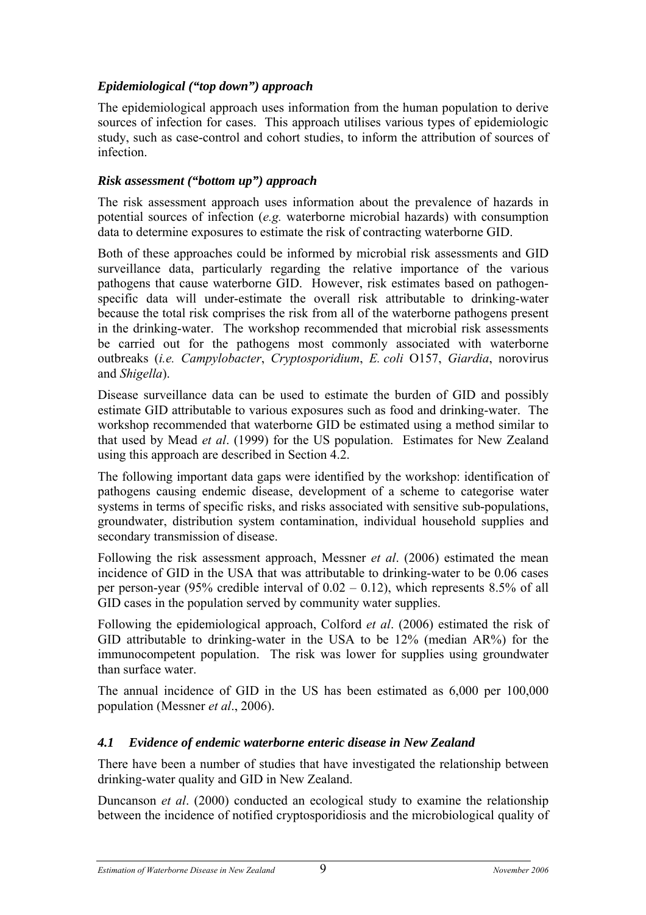# *Epidemiological ("top down") approach*

The epidemiological approach uses information from the human population to derive sources of infection for cases. This approach utilises various types of epidemiologic study, such as case-control and cohort studies, to inform the attribution of sources of infection.

# *Risk assessment ("bottom up") approach*

The risk assessment approach uses information about the prevalence of hazards in potential sources of infection (*e.g.* waterborne microbial hazards) with consumption data to determine exposures to estimate the risk of contracting waterborne GID.

Both of these approaches could be informed by microbial risk assessments and GID surveillance data, particularly regarding the relative importance of the various pathogens that cause waterborne GID. However, risk estimates based on pathogenspecific data will under-estimate the overall risk attributable to drinking-water because the total risk comprises the risk from all of the waterborne pathogens present in the drinking-water. The workshop recommended that microbial risk assessments be carried out for the pathogens most commonly associated with waterborne outbreaks (*i.e. Campylobacter*, *Cryptosporidium*, *E. coli* O157, *Giardia*, norovirus and *Shigella*).

Disease surveillance data can be used to estimate the burden of GID and possibly estimate GID attributable to various exposures such as food and drinking-water. The workshop recommended that waterborne GID be estimated using a method similar to that used by Mead *et al*. (1999) for the US population. Estimates for New Zealand using this approach are described in Section 4.2.

The following important data gaps were identified by the workshop: identification of pathogens causing endemic disease, development of a scheme to categorise water systems in terms of specific risks, and risks associated with sensitive sub-populations, groundwater, distribution system contamination, individual household supplies and secondary transmission of disease.

Following the risk assessment approach, Messner *et al*. (2006) estimated the mean incidence of GID in the USA that was attributable to drinking-water to be 0.06 cases per person-year (95% credible interval of  $0.02 - 0.12$ ), which represents 8.5% of all GID cases in the population served by community water supplies.

Following the epidemiological approach, Colford *et al*. (2006) estimated the risk of GID attributable to drinking-water in the USA to be 12% (median AR%) for the immunocompetent population. The risk was lower for supplies using groundwater than surface water.

The annual incidence of GID in the US has been estimated as 6,000 per 100,000 population (Messner *et al*., 2006).

# *4.1 Evidence of endemic waterborne enteric disease in New Zealand*

There have been a number of studies that have investigated the relationship between drinking-water quality and GID in New Zealand.

Duncanson *et al*. (2000) conducted an ecological study to examine the relationship between the incidence of notified cryptosporidiosis and the microbiological quality of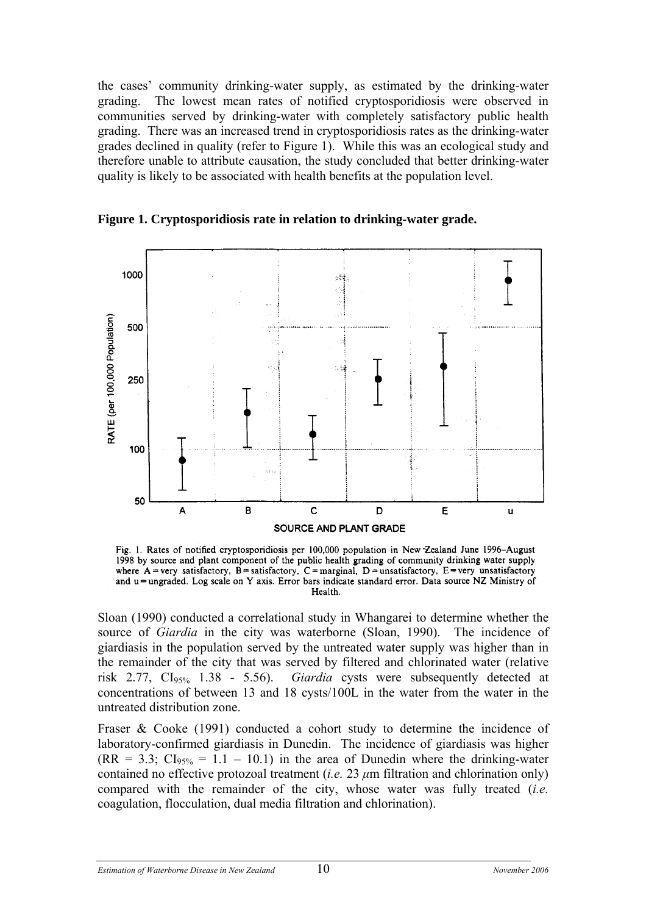the cases' community drinking-water supply, as estimated by the drinking-water grading. The lowest mean rates of notified cryptosporidiosis were observed in communities served by drinking-water with completely satisfactory public health grading. There was an increased trend in cryptosporidiosis rates as the drinking-water grades declined in quality (refer to Figure 1). While this was an ecological study and therefore unable to attribute causation, the study concluded that better drinking-water quality is likely to be associated with health benefits at the population level.



**Figure 1. Cryptosporidiosis rate in relation to drinking-water grade.** 

Fig. 1. Rates of notified cryptosporidiosis per 100,000 population in New Zealand June 1996-August 1998 by source and plant component of the public health grading of community drinking water supply where A = very satisfactory, B = satisfactory, C = marginal, D = unsatisfactory, E = very unsatisfactory and u=ungraded. Log scale on Y axis. Error bars indicate standard error. Data source NZ Ministry of Health.

Sloan (1990) conducted a correlational study in Whangarei to determine whether the source of *Giardia* in the city was waterborne (Sloan, 1990). The incidence of giardiasis in the population served by the untreated water supply was higher than in the remainder of the city that was served by filtered and chlorinated water (relative risk 2.77, CI95% 1.38 - 5.56). *Giardia* cysts were subsequently detected at concentrations of between 13 and 18 cysts/100L in the water from the water in the untreated distribution zone.

Fraser & Cooke (1991) conducted a cohort study to determine the incidence of laboratory-confirmed giardiasis in Dunedin. The incidence of giardiasis was higher  $(RR = 3.3; Cl<sub>95%</sub> = 1.1 – 10.1)$  in the area of Dunedin where the drinking-water contained no effective protozoal treatment (*i.e.* 23 *μ*m filtration and chlorination only) compared with the remainder of the city, whose water was fully treated (*i.e.* coagulation, flocculation, dual media filtration and chlorination).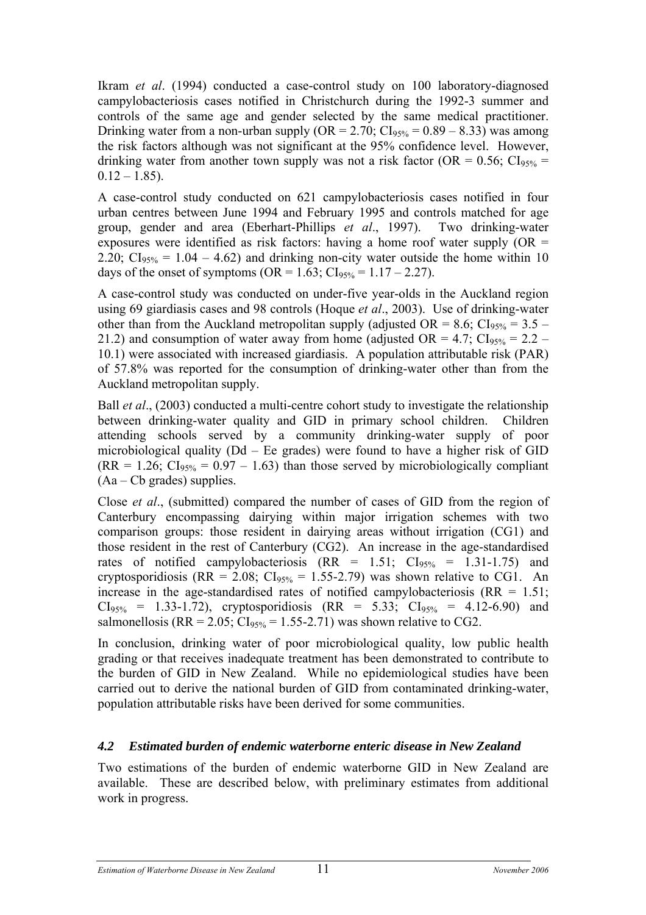Ikram *et al*. (1994) conducted a case-control study on 100 laboratory-diagnosed campylobacteriosis cases notified in Christchurch during the 1992-3 summer and controls of the same age and gender selected by the same medical practitioner. Drinking water from a non-urban supply  $(OR = 2.70; Cl<sub>95%</sub> = 0.89 - 8.33)$  was among the risk factors although was not significant at the 95% confidence level. However, drinking water from another town supply was not a risk factor (OR =  $0.56$ ; CI<sub>95%</sub> =  $0.12 - 1.85$ ).

A case-control study conducted on 621 campylobacteriosis cases notified in four urban centres between June 1994 and February 1995 and controls matched for age group, gender and area (Eberhart-Phillips *et al*., 1997). Two drinking-water exposures were identified as risk factors: having a home roof water supply  $(OR =$ 2.20;  $CI<sub>95%</sub> = 1.04 - 4.62$  and drinking non-city water outside the home within 10 days of the onset of symptoms (OR =  $1.63$ ; CI<sub>95%</sub> =  $1.17 - 2.27$ ).

A case-control study was conducted on under-five year-olds in the Auckland region using 69 giardiasis cases and 98 controls (Hoque *et al*., 2003). Use of drinking-water other than from the Auckland metropolitan supply (adjusted OR = 8.6;  $CI<sub>95%</sub>$  = 3.5 – 21.2) and consumption of water away from home (adjusted OR = 4.7;  $CI<sub>95%</sub> = 2.2 -$ 10.1) were associated with increased giardiasis. A population attributable risk (PAR) of 57.8% was reported for the consumption of drinking-water other than from the Auckland metropolitan supply.

Ball *et al*., (2003) conducted a multi-centre cohort study to investigate the relationship between drinking-water quality and GID in primary school children. Children attending schools served by a community drinking-water supply of poor microbiological quality (Dd – Ee grades) were found to have a higher risk of GID  $(RR = 1.26; Cl<sub>95%</sub> = 0.97 - 1.63)$  than those served by microbiologically compliant  $(Aa - Cb \text{ grades})$  supplies.

Close *et al*., (submitted) compared the number of cases of GID from the region of Canterbury encompassing dairying within major irrigation schemes with two comparison groups: those resident in dairying areas without irrigation (CG1) and those resident in the rest of Canterbury (CG2). An increase in the age-standardised rates of notified campylobacteriosis  $(RR = 1.51; Cl<sub>95%</sub> = 1.31-1.75)$  and cryptosporidiosis (RR = 2.08;  $CI<sub>95%</sub> = 1.55-2.79$ ) was shown relative to CG1. An increase in the age-standardised rates of notified campylobacteriosis  $(RR = 1.51)$ ;  $CI<sub>95%</sub> = 1.33-1.72$ , cryptosporidiosis  $(RR = 5.33; Cl<sub>95%</sub> = 4.12-6.90)$  and salmonellosis (RR = 2.05;  $CI<sub>95%</sub> = 1.55-2.71$ ) was shown relative to CG2.

In conclusion, drinking water of poor microbiological quality, low public health grading or that receives inadequate treatment has been demonstrated to contribute to the burden of GID in New Zealand. While no epidemiological studies have been carried out to derive the national burden of GID from contaminated drinking-water, population attributable risks have been derived for some communities.

#### *4.2 Estimated burden of endemic waterborne enteric disease in New Zealand*

Two estimations of the burden of endemic waterborne GID in New Zealand are available. These are described below, with preliminary estimates from additional work in progress.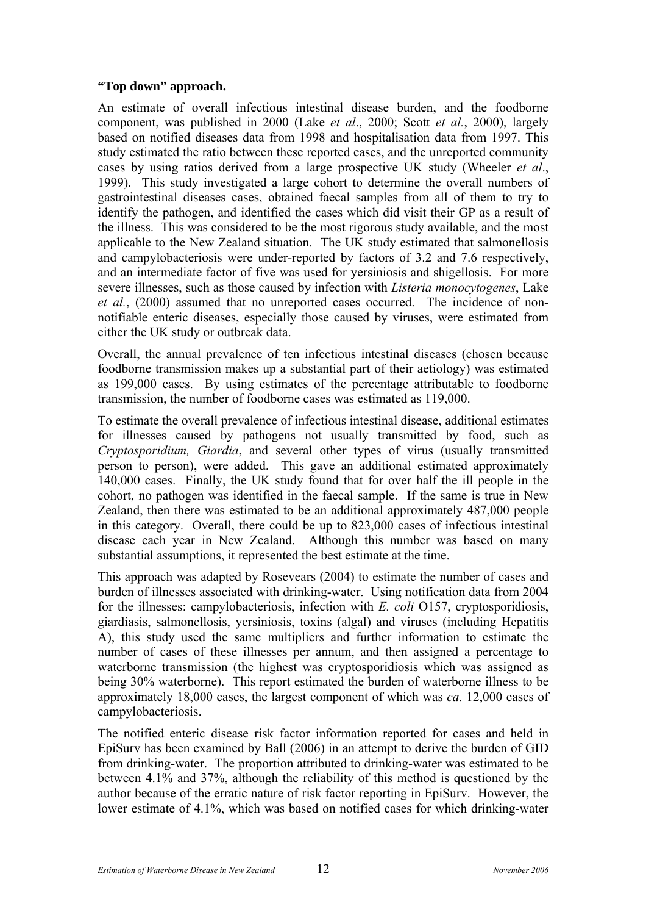#### **"Top down" approach.**

An estimate of overall infectious intestinal disease burden, and the foodborne component, was published in 2000 (Lake *et al*., 2000; Scott *et al.*, 2000), largely based on notified diseases data from 1998 and hospitalisation data from 1997. This study estimated the ratio between these reported cases, and the unreported community cases by using ratios derived from a large prospective UK study (Wheeler *et al*., 1999). This study investigated a large cohort to determine the overall numbers of gastrointestinal diseases cases, obtained faecal samples from all of them to try to identify the pathogen, and identified the cases which did visit their GP as a result of the illness. This was considered to be the most rigorous study available, and the most applicable to the New Zealand situation. The UK study estimated that salmonellosis and campylobacteriosis were under-reported by factors of 3.2 and 7.6 respectively, and an intermediate factor of five was used for yersiniosis and shigellosis. For more severe illnesses, such as those caused by infection with *Listeria monocytogenes*, Lake *et al.*, (2000) assumed that no unreported cases occurred. The incidence of nonnotifiable enteric diseases, especially those caused by viruses, were estimated from either the UK study or outbreak data.

Overall, the annual prevalence of ten infectious intestinal diseases (chosen because foodborne transmission makes up a substantial part of their aetiology) was estimated as 199,000 cases. By using estimates of the percentage attributable to foodborne transmission, the number of foodborne cases was estimated as 119,000.

To estimate the overall prevalence of infectious intestinal disease, additional estimates for illnesses caused by pathogens not usually transmitted by food, such as *Cryptosporidium, Giardia*, and several other types of virus (usually transmitted person to person), were added. This gave an additional estimated approximately 140,000 cases. Finally, the UK study found that for over half the ill people in the cohort, no pathogen was identified in the faecal sample. If the same is true in New Zealand, then there was estimated to be an additional approximately 487,000 people in this category. Overall, there could be up to 823,000 cases of infectious intestinal disease each year in New Zealand. Although this number was based on many substantial assumptions, it represented the best estimate at the time.

This approach was adapted by Rosevears (2004) to estimate the number of cases and burden of illnesses associated with drinking-water. Using notification data from 2004 for the illnesses: campylobacteriosis, infection with *E. coli* O157, cryptosporidiosis, giardiasis, salmonellosis, yersiniosis, toxins (algal) and viruses (including Hepatitis A), this study used the same multipliers and further information to estimate the number of cases of these illnesses per annum, and then assigned a percentage to waterborne transmission (the highest was cryptosporidiosis which was assigned as being 30% waterborne). This report estimated the burden of waterborne illness to be approximately 18,000 cases, the largest component of which was *ca.* 12,000 cases of campylobacteriosis.

The notified enteric disease risk factor information reported for cases and held in EpiSurv has been examined by Ball (2006) in an attempt to derive the burden of GID from drinking-water. The proportion attributed to drinking-water was estimated to be between 4.1% and 37%, although the reliability of this method is questioned by the author because of the erratic nature of risk factor reporting in EpiSurv. However, the lower estimate of 4.1%, which was based on notified cases for which drinking-water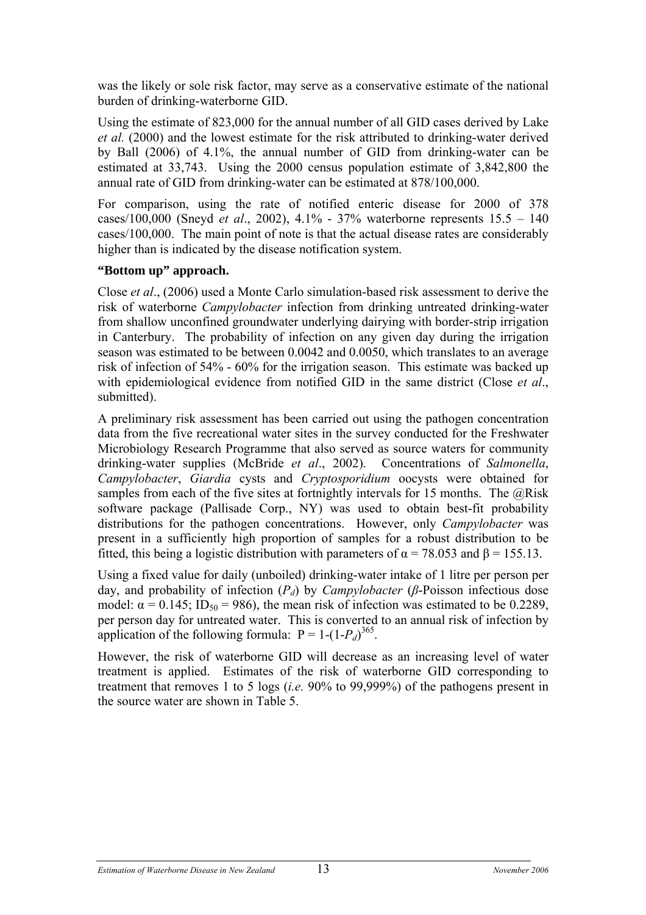was the likely or sole risk factor, may serve as a conservative estimate of the national burden of drinking-waterborne GID.

Using the estimate of 823,000 for the annual number of all GID cases derived by Lake *et al.* (2000) and the lowest estimate for the risk attributed to drinking-water derived by Ball (2006) of 4.1%, the annual number of GID from drinking-water can be estimated at 33,743. Using the 2000 census population estimate of 3,842,800 the annual rate of GID from drinking-water can be estimated at 878/100,000.

For comparison, using the rate of notified enteric disease for 2000 of 378 cases/100,000 (Sneyd *et al*., 2002), 4.1% - 37% waterborne represents 15.5 – 140 cases/100,000. The main point of note is that the actual disease rates are considerably higher than is indicated by the disease notification system.

#### **"Bottom up" approach.**

Close *et al*., (2006) used a Monte Carlo simulation-based risk assessment to derive the risk of waterborne *Campylobacter* infection from drinking untreated drinking-water from shallow unconfined groundwater underlying dairying with border-strip irrigation in Canterbury. The probability of infection on any given day during the irrigation season was estimated to be between 0.0042 and 0.0050, which translates to an average risk of infection of 54% - 60% for the irrigation season. This estimate was backed up with epidemiological evidence from notified GID in the same district (Close *et al*., submitted).

A preliminary risk assessment has been carried out using the pathogen concentration data from the five recreational water sites in the survey conducted for the Freshwater Microbiology Research Programme that also served as source waters for community drinking-water supplies (McBride *et al*., 2002). Concentrations of *Salmonella*, *Campylobacter*, *Giardia* cysts and *Cryptosporidium* oocysts were obtained for samples from each of the five sites at fortnightly intervals for 15 months. The  $@Risk$ software package (Pallisade Corp., NY) was used to obtain best-fit probability distributions for the pathogen concentrations. However, only *Campylobacter* was present in a sufficiently high proportion of samples for a robust distribution to be fitted, this being a logistic distribution with parameters of  $\alpha$  = 78.053 and  $\beta$  = 155.13.

Using a fixed value for daily (unboiled) drinking-water intake of 1 litre per person per day, and probability of infection (*Pd*) by *Campylobacter* (*β*-Poisson infectious dose model:  $\alpha = 0.145$ ; ID<sub>50</sub> = 986), the mean risk of infection was estimated to be 0.2289, per person day for untreated water. This is converted to an annual risk of infection by application of the following formula:  $P = 1-(1-P_d)^{365}$ .

However, the risk of waterborne GID will decrease as an increasing level of water treatment is applied. Estimates of the risk of waterborne GID corresponding to treatment that removes 1 to 5 logs (*i.e.* 90% to 99,999%) of the pathogens present in the source water are shown in Table 5.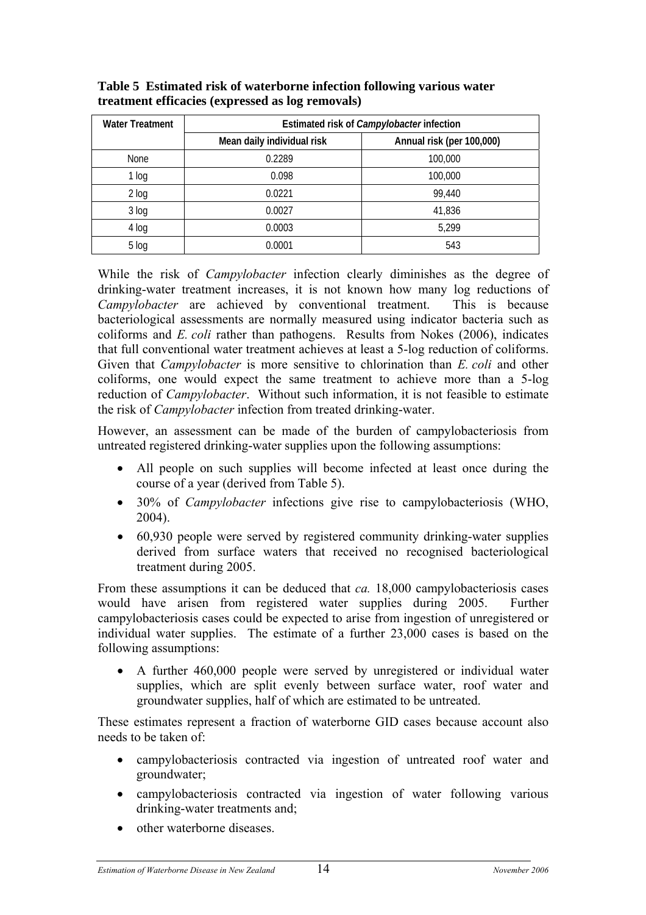| <b>Water Treatment</b> | Estimated risk of <i>Campylobacter</i> infection |                           |  |  |
|------------------------|--------------------------------------------------|---------------------------|--|--|
|                        | Mean daily individual risk                       | Annual risk (per 100,000) |  |  |
| None                   | 0.2289                                           | 100,000                   |  |  |
| 1 log                  | 0.098                                            | 100,000                   |  |  |
| $2$ log                | 0.0221                                           | 99,440                    |  |  |
| $3$ log                | 0.0027                                           | 41,836                    |  |  |
| 4 log                  | 0.0003                                           | 5,299                     |  |  |
| 5 log                  | 0.0001                                           | 543                       |  |  |

**Table 5 Estimated risk of waterborne infection following various water treatment efficacies (expressed as log removals)** 

While the risk of *Campylobacter* infection clearly diminishes as the degree of drinking-water treatment increases, it is not known how many log reductions of *Campylobacter* are achieved by conventional treatment. This is because bacteriological assessments are normally measured using indicator bacteria such as coliforms and *E. coli* rather than pathogens. Results from Nokes (2006), indicates that full conventional water treatment achieves at least a 5-log reduction of coliforms. Given that *Campylobacter* is more sensitive to chlorination than *E. coli* and other coliforms, one would expect the same treatment to achieve more than a 5-log reduction of *Campylobacter*. Without such information, it is not feasible to estimate the risk of *Campylobacter* infection from treated drinking-water.

However, an assessment can be made of the burden of campylobacteriosis from untreated registered drinking-water supplies upon the following assumptions:

- All people on such supplies will become infected at least once during the course of a year (derived from Table 5).
- 30% of *Campylobacter* infections give rise to campylobacteriosis (WHO, 2004).
- 60,930 people were served by registered community drinking-water supplies derived from surface waters that received no recognised bacteriological treatment during 2005.

From these assumptions it can be deduced that *ca.* 18,000 campylobacteriosis cases would have arisen from registered water supplies during 2005. Further campylobacteriosis cases could be expected to arise from ingestion of unregistered or individual water supplies. The estimate of a further 23,000 cases is based on the following assumptions:

• A further 460,000 people were served by unregistered or individual water supplies, which are split evenly between surface water, roof water and groundwater supplies, half of which are estimated to be untreated.

These estimates represent a fraction of waterborne GID cases because account also needs to be taken of:

- campylobacteriosis contracted via ingestion of untreated roof water and groundwater;
- campylobacteriosis contracted via ingestion of water following various drinking-water treatments and;
- other waterborne diseases.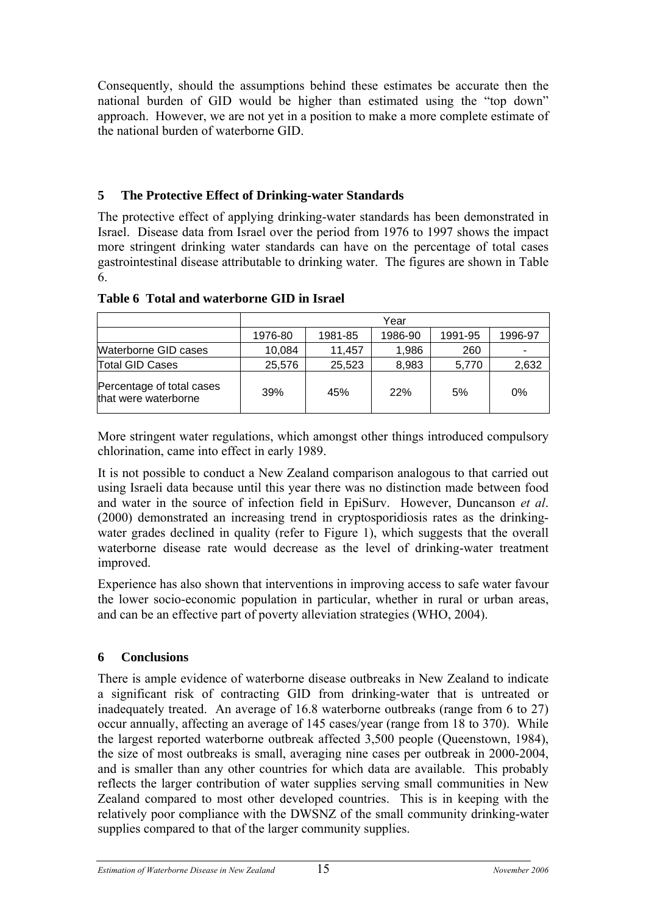Consequently, should the assumptions behind these estimates be accurate then the national burden of GID would be higher than estimated using the "top down" approach. However, we are not yet in a position to make a more complete estimate of the national burden of waterborne GID.

# **5 The Protective Effect of Drinking-water Standards**

The protective effect of applying drinking-water standards has been demonstrated in Israel. Disease data from Israel over the period from 1976 to 1997 shows the impact more stringent drinking water standards can have on the percentage of total cases gastrointestinal disease attributable to drinking water. The figures are shown in Table 6.

|                                                   | Year    |         |         |         |         |  |
|---------------------------------------------------|---------|---------|---------|---------|---------|--|
|                                                   | 1976-80 | 1981-85 | 1986-90 | 1991-95 | 1996-97 |  |
| Waterborne GID cases                              | 10,084  | 11,457  | 1,986   | 260     |         |  |
| <b>Total GID Cases</b>                            | 25,576  | 25,523  | 8,983   | 5,770   | 2,632   |  |
| Percentage of total cases<br>that were waterborne | 39%     | 45%     | 22%     | 5%      | 0%      |  |

#### **Table 6 Total and waterborne GID in Israel**

More stringent water regulations, which amongst other things introduced compulsory chlorination, came into effect in early 1989.

It is not possible to conduct a New Zealand comparison analogous to that carried out using Israeli data because until this year there was no distinction made between food and water in the source of infection field in EpiSurv. However, Duncanson *et al*. (2000) demonstrated an increasing trend in cryptosporidiosis rates as the drinkingwater grades declined in quality (refer to Figure 1), which suggests that the overall waterborne disease rate would decrease as the level of drinking-water treatment improved.

Experience has also shown that interventions in improving access to safe water favour the lower socio-economic population in particular, whether in rural or urban areas, and can be an effective part of poverty alleviation strategies (WHO, 2004).

#### **6 Conclusions**

There is ample evidence of waterborne disease outbreaks in New Zealand to indicate a significant risk of contracting GID from drinking-water that is untreated or inadequately treated. An average of 16.8 waterborne outbreaks (range from 6 to 27) occur annually, affecting an average of 145 cases/year (range from 18 to 370). While the largest reported waterborne outbreak affected 3,500 people (Queenstown, 1984), the size of most outbreaks is small, averaging nine cases per outbreak in 2000-2004, and is smaller than any other countries for which data are available. This probably reflects the larger contribution of water supplies serving small communities in New Zealand compared to most other developed countries. This is in keeping with the relatively poor compliance with the DWSNZ of the small community drinking-water supplies compared to that of the larger community supplies.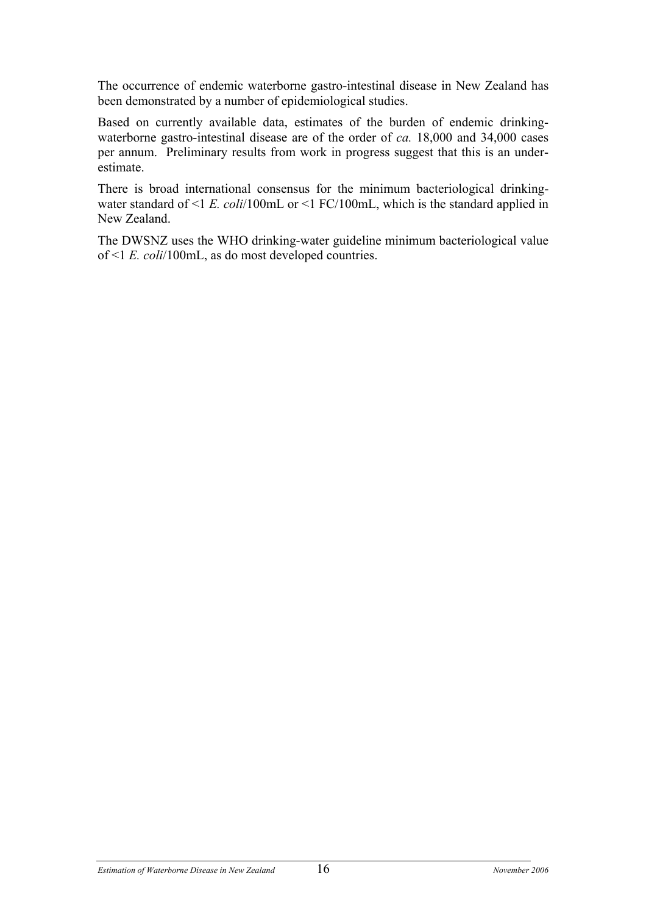The occurrence of endemic waterborne gastro-intestinal disease in New Zealand has been demonstrated by a number of epidemiological studies.

Based on currently available data, estimates of the burden of endemic drinkingwaterborne gastro-intestinal disease are of the order of *ca.* 18,000 and 34,000 cases per annum. Preliminary results from work in progress suggest that this is an underestimate.

There is broad international consensus for the minimum bacteriological drinkingwater standard of <1 *E. coli*/100mL or <1 FC/100mL, which is the standard applied in New Zealand.

The DWSNZ uses the WHO drinking-water guideline minimum bacteriological value of <1 *E. coli*/100mL, as do most developed countries.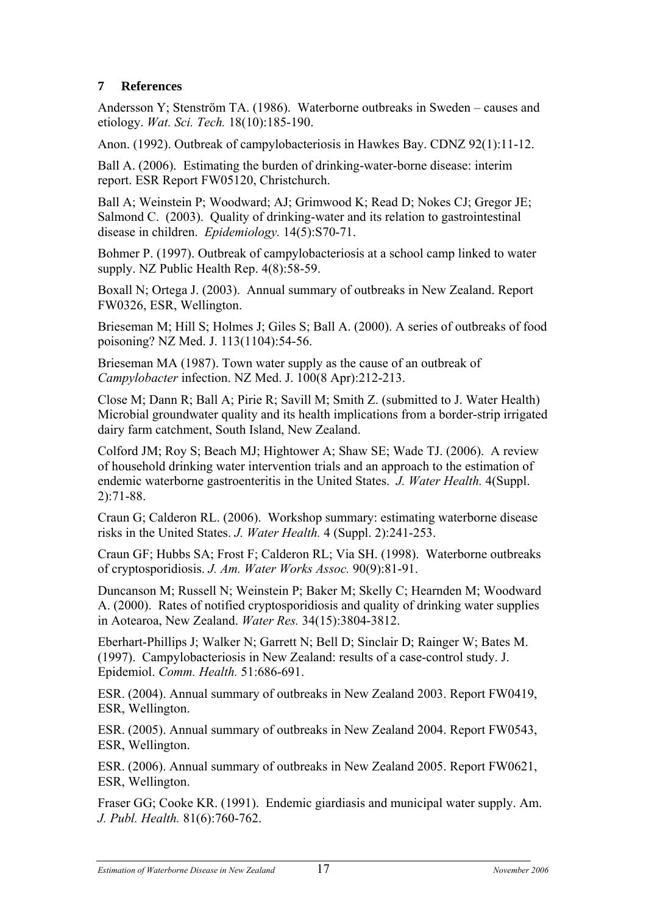# **7 References**

Andersson Y; Stenström TA. (1986). Waterborne outbreaks in Sweden – causes and etiology. *Wat. Sci. Tech.* 18(10):185-190.

Anon. (1992). Outbreak of campylobacteriosis in Hawkes Bay. CDNZ 92(1):11-12.

Ball A. (2006). Estimating the burden of drinking-water-borne disease: interim report. ESR Report FW05120, Christchurch.

Ball A; Weinstein P; Woodward; AJ; Grimwood K; Read D; Nokes CJ; Gregor JE; Salmond C. (2003). Quality of drinking-water and its relation to gastrointestinal disease in children. *Epidemiology.* 14(5):S70-71.

Bohmer P. (1997). Outbreak of campylobacteriosis at a school camp linked to water supply. NZ Public Health Rep. 4(8):58-59.

Boxall N; Ortega J. (2003). Annual summary of outbreaks in New Zealand. Report FW0326, ESR, Wellington.

Brieseman M; Hill S; Holmes J; Giles S; Ball A. (2000). A series of outbreaks of food poisoning? NZ Med. J. 113(1104):54-56.

Brieseman MA (1987). Town water supply as the cause of an outbreak of *Campylobacter* infection. NZ Med. J. 100(8 Apr):212-213.

Close M; Dann R; Ball A; Pirie R; Savill M; Smith Z. (submitted to J. Water Health) Microbial groundwater quality and its health implications from a border-strip irrigated dairy farm catchment, South Island, New Zealand.

Colford JM; Roy S; Beach MJ; Hightower A; Shaw SE; Wade TJ. (2006). A review of household drinking water intervention trials and an approach to the estimation of endemic waterborne gastroenteritis in the United States. *J. Water Health.* 4(Suppl. 2):71-88.

Craun G; Calderon RL. (2006). Workshop summary: estimating waterborne disease risks in the United States. *J. Water Health.* 4 (Suppl. 2):241-253.

Craun GF; Hubbs SA; Frost F; Calderon RL; Via SH. (1998). Waterborne outbreaks of cryptosporidiosis. *J. Am. Water Works Assoc.* 90(9):81-91.

Duncanson M; Russell N; Weinstein P; Baker M; Skelly C; Hearnden M; Woodward A. (2000). Rates of notified cryptosporidiosis and quality of drinking water supplies in Aotearoa, New Zealand. *Water Res.* 34(15):3804-3812.

Eberhart-Phillips J; Walker N; Garrett N; Bell D; Sinclair D; Rainger W; Bates M. (1997). Campylobacteriosis in New Zealand: results of a case-control study. J. Epidemiol. *Comm. Health.* 51:686-691.

ESR. (2004). Annual summary of outbreaks in New Zealand 2003. Report FW0419, ESR, Wellington.

ESR. (2005). Annual summary of outbreaks in New Zealand 2004. Report FW0543, ESR, Wellington.

ESR. (2006). Annual summary of outbreaks in New Zealand 2005. Report FW0621, ESR, Wellington.

Fraser GG; Cooke KR. (1991). Endemic giardiasis and municipal water supply. Am. *J. Publ. Health.* 81(6):760-762.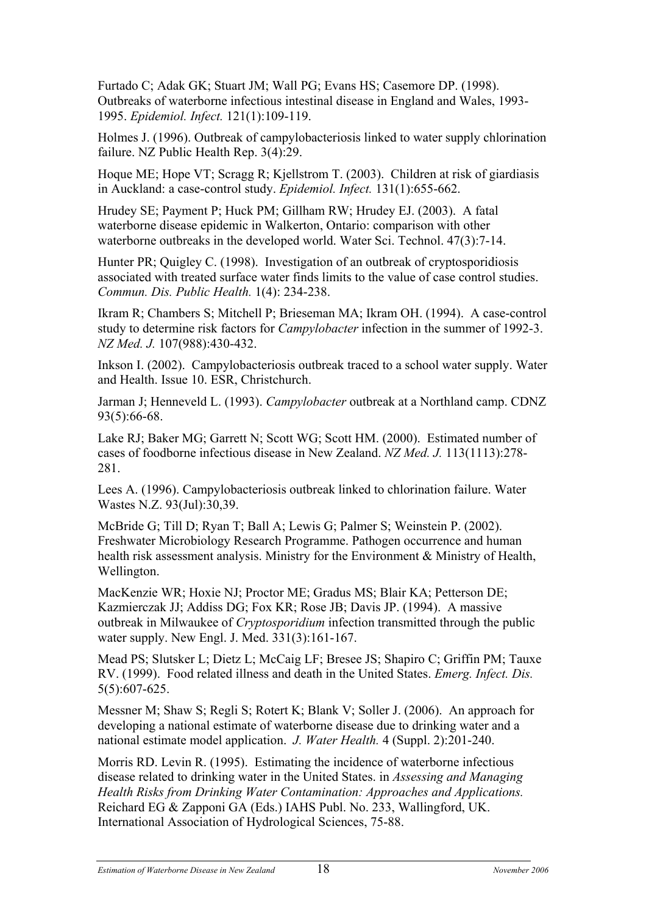Furtado C; Adak GK; Stuart JM; Wall PG; Evans HS; Casemore DP. (1998). Outbreaks of waterborne infectious intestinal disease in England and Wales, 1993- 1995. *Epidemiol. Infect.* 121(1):109-119.

Holmes J. (1996). Outbreak of campylobacteriosis linked to water supply chlorination failure. NZ Public Health Rep. 3(4):29.

Hoque ME; Hope VT; Scragg R; Kjellstrom T. (2003). Children at risk of giardiasis in Auckland: a case-control study. *Epidemiol. Infect.* 131(1):655-662.

Hrudey SE; Payment P; Huck PM; Gillham RW; Hrudey EJ. (2003). A fatal waterborne disease epidemic in Walkerton, Ontario: comparison with other waterborne outbreaks in the developed world. Water Sci. Technol. 47(3):7-14.

Hunter PR; Quigley C. (1998). Investigation of an outbreak of cryptosporidiosis associated with treated surface water finds limits to the value of case control studies. *Commun. Dis. Public Health.* 1(4): 234-238.

Ikram R; Chambers S; Mitchell P; Brieseman MA; Ikram OH. (1994). A case-control study to determine risk factors for *Campylobacter* infection in the summer of 1992-3. *NZ Med. J.* 107(988):430-432.

Inkson I. (2002). Campylobacteriosis outbreak traced to a school water supply. Water and Health. Issue 10. ESR, Christchurch.

Jarman J; Henneveld L. (1993). *Campylobacter* outbreak at a Northland camp. CDNZ 93(5):66-68.

Lake RJ; Baker MG; Garrett N; Scott WG; Scott HM. (2000). Estimated number of cases of foodborne infectious disease in New Zealand. *NZ Med. J.* 113(1113):278- 281.

Lees A. (1996). Campylobacteriosis outbreak linked to chlorination failure. Water Wastes N.Z. 93(Jul):30,39.

McBride G; Till D; Ryan T; Ball A; Lewis G; Palmer S; Weinstein P. (2002). Freshwater Microbiology Research Programme. Pathogen occurrence and human health risk assessment analysis. Ministry for the Environment & Ministry of Health, Wellington.

MacKenzie WR; Hoxie NJ; Proctor ME; Gradus MS; Blair KA; Petterson DE; Kazmierczak JJ; Addiss DG; Fox KR; Rose JB; Davis JP. (1994). A massive outbreak in Milwaukee of *Cryptosporidium* infection transmitted through the public water supply. New Engl. J. Med. 331(3):161-167.

Mead PS; Slutsker L; Dietz L; McCaig LF; Bresee JS; Shapiro C; Griffin PM; Tauxe RV. (1999). Food related illness and death in the United States. *Emerg. Infect. Dis.* 5(5):607-625.

Messner M; Shaw S; Regli S; Rotert K; Blank V; Soller J. (2006). An approach for developing a national estimate of waterborne disease due to drinking water and a national estimate model application. *J. Water Health.* 4 (Suppl. 2):201-240.

Morris RD. Levin R. (1995). Estimating the incidence of waterborne infectious disease related to drinking water in the United States. in *Assessing and Managing Health Risks from Drinking Water Contamination: Approaches and Applications.*  Reichard EG & Zapponi GA (Eds.) IAHS Publ. No. 233, Wallingford, UK. International Association of Hydrological Sciences, 75-88.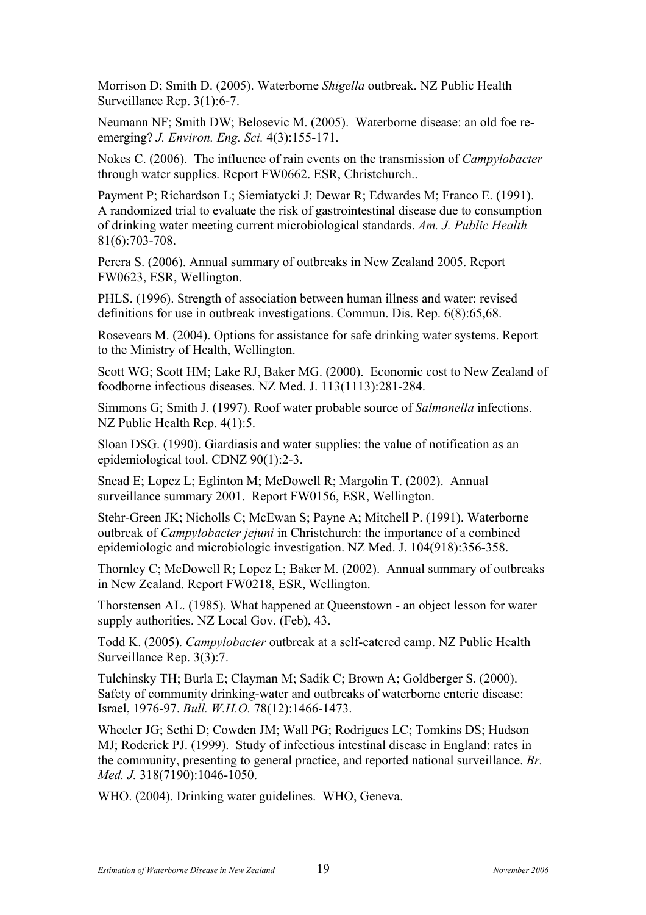Morrison D; Smith D. (2005). Waterborne *Shigella* outbreak. NZ Public Health Surveillance Rep. 3(1):6-7.

Neumann NF; Smith DW; Belosevic M. (2005). Waterborne disease: an old foe reemerging? *J. Environ. Eng. Sci.* 4(3):155-171.

Nokes C. (2006). The influence of rain events on the transmission of *Campylobacter*  through water supplies. Report FW0662. ESR, Christchurch..

Payment P; Richardson L; Siemiatycki J; Dewar R; Edwardes M; Franco E. (1991). A randomized trial to evaluate the risk of gastrointestinal disease due to consumption of drinking water meeting current microbiological standards. *Am. J. Public Health*  81(6):703-708.

Perera S. (2006). Annual summary of outbreaks in New Zealand 2005. Report FW0623, ESR, Wellington.

PHLS. (1996). Strength of association between human illness and water: revised definitions for use in outbreak investigations. Commun. Dis. Rep. 6(8):65,68.

Rosevears M. (2004). Options for assistance for safe drinking water systems. Report to the Ministry of Health, Wellington.

Scott WG; Scott HM; Lake RJ, Baker MG. (2000). Economic cost to New Zealand of foodborne infectious diseases. NZ Med. J. 113(1113):281-284.

Simmons G; Smith J. (1997). Roof water probable source of *Salmonella* infections. NZ Public Health Rep.  $4(1)$ :5.

Sloan DSG. (1990). Giardiasis and water supplies: the value of notification as an epidemiological tool. CDNZ 90(1):2-3.

Snead E; Lopez L; Eglinton M; McDowell R; Margolin T. (2002). Annual surveillance summary 2001. Report FW0156, ESR, Wellington.

Stehr-Green JK; Nicholls C; McEwan S; Payne A; Mitchell P. (1991). Waterborne outbreak of *Campylobacter jejuni* in Christchurch: the importance of a combined epidemiologic and microbiologic investigation. NZ Med. J. 104(918):356-358.

Thornley C; McDowell R; Lopez L; Baker M. (2002). Annual summary of outbreaks in New Zealand. Report FW0218, ESR, Wellington.

Thorstensen AL. (1985). What happened at Queenstown - an object lesson for water supply authorities. NZ Local Gov. (Feb), 43.

Todd K. (2005). *Campylobacter* outbreak at a self-catered camp. NZ Public Health Surveillance Rep. 3(3):7.

Tulchinsky TH; Burla E; Clayman M; Sadik C; Brown A; Goldberger S. (2000). Safety of community drinking-water and outbreaks of waterborne enteric disease: Israel, 1976-97. *Bull. W.H.O.* 78(12):1466-1473.

Wheeler JG; Sethi D; Cowden JM; Wall PG; Rodrigues LC; Tomkins DS; Hudson MJ; Roderick PJ. (1999). Study of infectious intestinal disease in England: rates in the community, presenting to general practice, and reported national surveillance. *Br. Med. J.* 318(7190):1046-1050.

WHO. (2004). Drinking water guidelines. WHO, Geneva.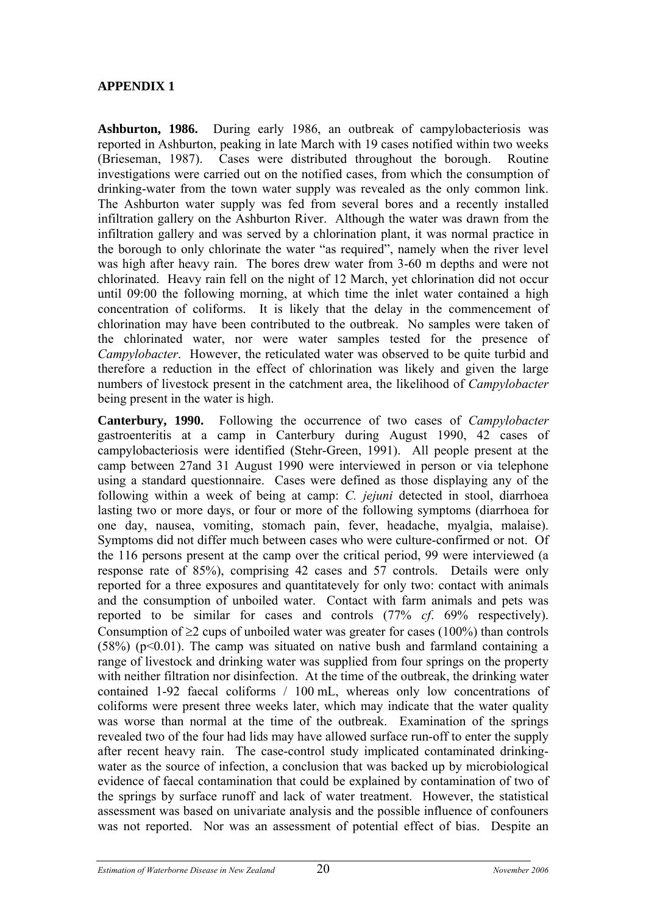## **APPENDIX 1**

**Ashburton, 1986.** During early 1986, an outbreak of campylobacteriosis was reported in Ashburton, peaking in late March with 19 cases notified within two weeks (Brieseman, 1987). Cases were distributed throughout the borough. Routine investigations were carried out on the notified cases, from which the consumption of drinking-water from the town water supply was revealed as the only common link. The Ashburton water supply was fed from several bores and a recently installed infiltration gallery on the Ashburton River. Although the water was drawn from the infiltration gallery and was served by a chlorination plant, it was normal practice in the borough to only chlorinate the water "as required", namely when the river level was high after heavy rain. The bores drew water from 3-60 m depths and were not chlorinated. Heavy rain fell on the night of 12 March, yet chlorination did not occur until 09:00 the following morning, at which time the inlet water contained a high concentration of coliforms. It is likely that the delay in the commencement of chlorination may have been contributed to the outbreak. No samples were taken of the chlorinated water, nor were water samples tested for the presence of *Campylobacter*. However, the reticulated water was observed to be quite turbid and therefore a reduction in the effect of chlorination was likely and given the large numbers of livestock present in the catchment area, the likelihood of *Campylobacter* being present in the water is high.

**Canterbury, 1990.** Following the occurrence of two cases of *Campylobacter* gastroenteritis at a camp in Canterbury during August 1990, 42 cases of campylobacteriosis were identified (Stehr-Green, 1991). All people present at the camp between 27and 31 August 1990 were interviewed in person or via telephone using a standard questionnaire. Cases were defined as those displaying any of the following within a week of being at camp: *C. jejuni* detected in stool, diarrhoea lasting two or more days, or four or more of the following symptoms (diarrhoea for one day, nausea, vomiting, stomach pain, fever, headache, myalgia, malaise). Symptoms did not differ much between cases who were culture-confirmed or not. Of the 116 persons present at the camp over the critical period, 99 were interviewed (a response rate of 85%), comprising 42 cases and 57 controls. Details were only reported for a three exposures and quantitatevely for only two: contact with animals and the consumption of unboiled water. Contact with farm animals and pets was reported to be similar for cases and controls (77% *cf*. 69% respectively). Consumption of  $\geq 2$  cups of unboiled water was greater for cases (100%) than controls  $(58%)$  (p<0.01). The camp was situated on native bush and farmland containing a range of livestock and drinking water was supplied from four springs on the property with neither filtration nor disinfection. At the time of the outbreak, the drinking water contained 1-92 faecal coliforms / 100 mL, whereas only low concentrations of coliforms were present three weeks later, which may indicate that the water quality was worse than normal at the time of the outbreak. Examination of the springs revealed two of the four had lids may have allowed surface run-off to enter the supply after recent heavy rain. The case-control study implicated contaminated drinkingwater as the source of infection, a conclusion that was backed up by microbiological evidence of faecal contamination that could be explained by contamination of two of the springs by surface runoff and lack of water treatment. However, the statistical assessment was based on univariate analysis and the possible influence of confouners was not reported. Nor was an assessment of potential effect of bias. Despite an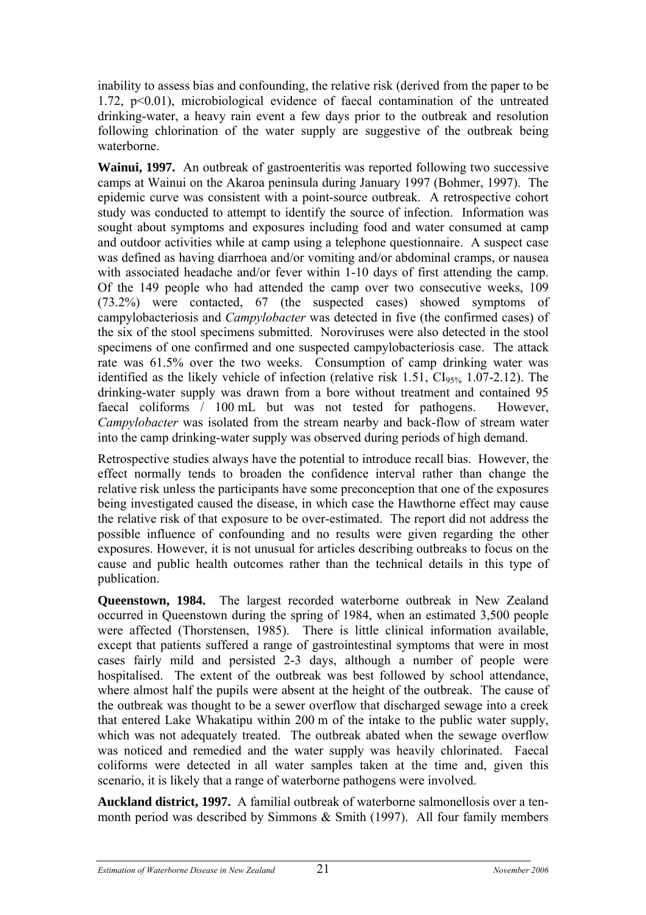inability to assess bias and confounding, the relative risk (derived from the paper to be 1.72, p<0.01), microbiological evidence of faecal contamination of the untreated drinking-water, a heavy rain event a few days prior to the outbreak and resolution following chlorination of the water supply are suggestive of the outbreak being waterborne.

**Wainui, 1997.** An outbreak of gastroenteritis was reported following two successive camps at Wainui on the Akaroa peninsula during January 1997 (Bohmer, 1997). The epidemic curve was consistent with a point-source outbreak. A retrospective cohort study was conducted to attempt to identify the source of infection. Information was sought about symptoms and exposures including food and water consumed at camp and outdoor activities while at camp using a telephone questionnaire. A suspect case was defined as having diarrhoea and/or vomiting and/or abdominal cramps, or nausea with associated headache and/or fever within 1-10 days of first attending the camp. Of the 149 people who had attended the camp over two consecutive weeks, 109 (73.2%) were contacted, 67 (the suspected cases) showed symptoms of campylobacteriosis and *Campylobacter* was detected in five (the confirmed cases) of the six of the stool specimens submitted. Noroviruses were also detected in the stool specimens of one confirmed and one suspected campylobacteriosis case. The attack rate was 61.5% over the two weeks. Consumption of camp drinking water was identified as the likely vehicle of infection (relative risk  $1.51$ ,  $CI<sub>95%</sub>$   $1.07-2.12$ ). The drinking-water supply was drawn from a bore without treatment and contained 95 faecal coliforms / 100 mL but was not tested for pathogens. However, *Campylobacter* was isolated from the stream nearby and back-flow of stream water into the camp drinking-water supply was observed during periods of high demand.

Retrospective studies always have the potential to introduce recall bias. However, the effect normally tends to broaden the confidence interval rather than change the relative risk unless the participants have some preconception that one of the exposures being investigated caused the disease, in which case the Hawthorne effect may cause the relative risk of that exposure to be over-estimated. The report did not address the possible influence of confounding and no results were given regarding the other exposures. However, it is not unusual for articles describing outbreaks to focus on the cause and public health outcomes rather than the technical details in this type of publication.

**Queenstown, 1984.** The largest recorded waterborne outbreak in New Zealand occurred in Queenstown during the spring of 1984, when an estimated 3,500 people were affected (Thorstensen, 1985). There is little clinical information available, except that patients suffered a range of gastrointestinal symptoms that were in most cases fairly mild and persisted 2-3 days, although a number of people were hospitalised. The extent of the outbreak was best followed by school attendance, where almost half the pupils were absent at the height of the outbreak. The cause of the outbreak was thought to be a sewer overflow that discharged sewage into a creek that entered Lake Whakatipu within 200 m of the intake to the public water supply, which was not adequately treated. The outbreak abated when the sewage overflow was noticed and remedied and the water supply was heavily chlorinated. Faecal coliforms were detected in all water samples taken at the time and, given this scenario, it is likely that a range of waterborne pathogens were involved.

**Auckland district, 1997.** A familial outbreak of waterborne salmonellosis over a tenmonth period was described by Simmons  $\&$  Smith (1997). All four family members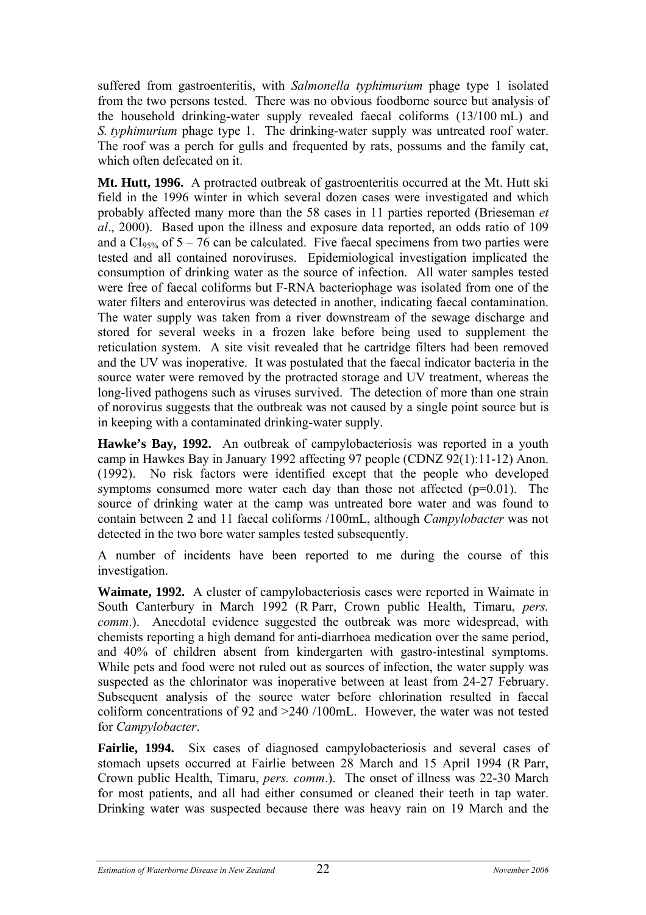suffered from gastroenteritis, with *Salmonella typhimurium* phage type 1 isolated from the two persons tested. There was no obvious foodborne source but analysis of the household drinking-water supply revealed faecal coliforms (13/100 mL) and *S. typhimurium* phage type 1. The drinking-water supply was untreated roof water. The roof was a perch for gulls and frequented by rats, possums and the family cat, which often defecated on it.

**Mt. Hutt, 1996.** A protracted outbreak of gastroenteritis occurred at the Mt. Hutt ski field in the 1996 winter in which several dozen cases were investigated and which probably affected many more than the 58 cases in 11 parties reported (Brieseman *et al*., 2000). Based upon the illness and exposure data reported, an odds ratio of 109 and a  $CI<sub>95%</sub>$ </sub> of  $5 - 76$  can be calculated. Five faecal specimens from two parties were tested and all contained noroviruses. Epidemiological investigation implicated the consumption of drinking water as the source of infection. All water samples tested were free of faecal coliforms but F-RNA bacteriophage was isolated from one of the water filters and enterovirus was detected in another, indicating faecal contamination. The water supply was taken from a river downstream of the sewage discharge and stored for several weeks in a frozen lake before being used to supplement the reticulation system. A site visit revealed that he cartridge filters had been removed and the UV was inoperative. It was postulated that the faecal indicator bacteria in the source water were removed by the protracted storage and UV treatment, whereas the long-lived pathogens such as viruses survived. The detection of more than one strain of norovirus suggests that the outbreak was not caused by a single point source but is in keeping with a contaminated drinking-water supply.

**Hawke's Bay, 1992.** An outbreak of campylobacteriosis was reported in a youth camp in Hawkes Bay in January 1992 affecting 97 people (CDNZ 92(1):11-12) Anon. (1992). No risk factors were identified except that the people who developed symptoms consumed more water each day than those not affected  $(p=0.01)$ . The source of drinking water at the camp was untreated bore water and was found to contain between 2 and 11 faecal coliforms /100mL, although *Campylobacter* was not detected in the two bore water samples tested subsequently.

A number of incidents have been reported to me during the course of this investigation.

**Waimate, 1992.** A cluster of campylobacteriosis cases were reported in Waimate in South Canterbury in March 1992 (R Parr, Crown public Health, Timaru, *pers. comm*.). Anecdotal evidence suggested the outbreak was more widespread, with chemists reporting a high demand for anti-diarrhoea medication over the same period, and 40% of children absent from kindergarten with gastro-intestinal symptoms. While pets and food were not ruled out as sources of infection, the water supply was suspected as the chlorinator was inoperative between at least from 24-27 February. Subsequent analysis of the source water before chlorination resulted in faecal coliform concentrations of 92 and >240 /100mL. However, the water was not tested for *Campylobacter*.

**Fairlie, 1994.** Six cases of diagnosed campylobacteriosis and several cases of stomach upsets occurred at Fairlie between 28 March and 15 April 1994 (R Parr, Crown public Health, Timaru, *pers. comm*.). The onset of illness was 22-30 March for most patients, and all had either consumed or cleaned their teeth in tap water. Drinking water was suspected because there was heavy rain on 19 March and the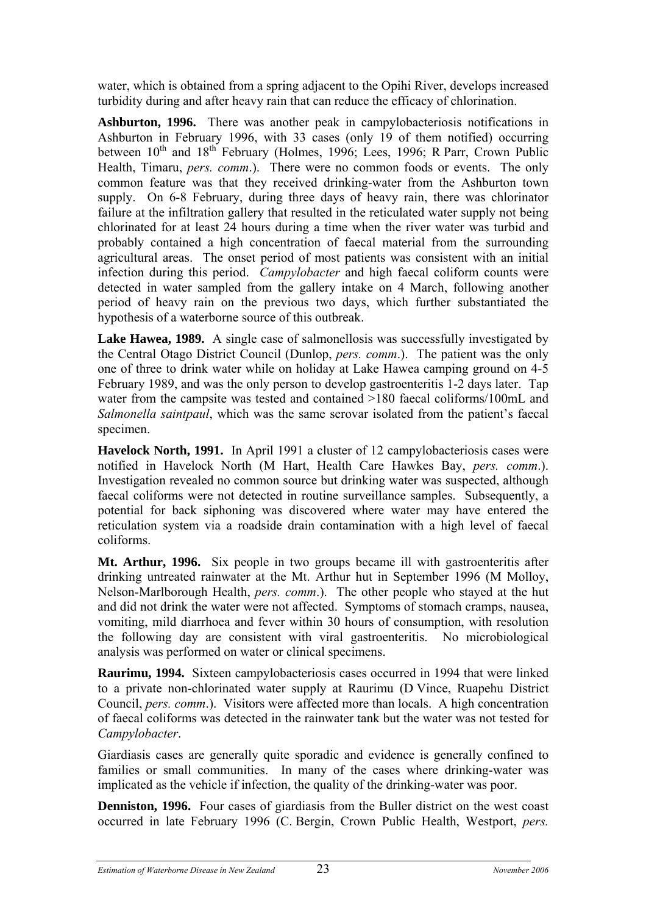water, which is obtained from a spring adjacent to the Opihi River, develops increased turbidity during and after heavy rain that can reduce the efficacy of chlorination.

**Ashburton, 1996.** There was another peak in campylobacteriosis notifications in Ashburton in February 1996, with 33 cases (only 19 of them notified) occurring between  $10^{th}$  and  $18^{th}$  February (Holmes, 1996; Lees, 1996; R Parr, Crown Public Health, Timaru, *pers. comm*.). There were no common foods or events. The only common feature was that they received drinking-water from the Ashburton town supply. On 6-8 February, during three days of heavy rain, there was chlorinator failure at the infiltration gallery that resulted in the reticulated water supply not being chlorinated for at least 24 hours during a time when the river water was turbid and probably contained a high concentration of faecal material from the surrounding agricultural areas. The onset period of most patients was consistent with an initial infection during this period. *Campylobacter* and high faecal coliform counts were detected in water sampled from the gallery intake on 4 March, following another period of heavy rain on the previous two days, which further substantiated the hypothesis of a waterborne source of this outbreak.

Lake Hawea, 1989. A single case of salmonellosis was successfully investigated by the Central Otago District Council (Dunlop, *pers. comm*.). The patient was the only one of three to drink water while on holiday at Lake Hawea camping ground on 4-5 February 1989, and was the only person to develop gastroenteritis 1-2 days later. Tap water from the campsite was tested and contained >180 faecal coliforms/100mL and *Salmonella saintpaul*, which was the same serovar isolated from the patient's faecal specimen.

**Havelock North, 1991.** In April 1991 a cluster of 12 campylobacteriosis cases were notified in Havelock North (M Hart, Health Care Hawkes Bay, *pers. comm*.). Investigation revealed no common source but drinking water was suspected, although faecal coliforms were not detected in routine surveillance samples. Subsequently, a potential for back siphoning was discovered where water may have entered the reticulation system via a roadside drain contamination with a high level of faecal coliforms.

**Mt. Arthur, 1996.** Six people in two groups became ill with gastroenteritis after drinking untreated rainwater at the Mt. Arthur hut in September 1996 (M Molloy, Nelson-Marlborough Health, *pers. comm*.). The other people who stayed at the hut and did not drink the water were not affected. Symptoms of stomach cramps, nausea, vomiting, mild diarrhoea and fever within 30 hours of consumption, with resolution the following day are consistent with viral gastroenteritis. No microbiological analysis was performed on water or clinical specimens.

**Raurimu, 1994.** Sixteen campylobacteriosis cases occurred in 1994 that were linked to a private non-chlorinated water supply at Raurimu (D Vince, Ruapehu District Council, *pers. comm*.). Visitors were affected more than locals. A high concentration of faecal coliforms was detected in the rainwater tank but the water was not tested for *Campylobacter*.

Giardiasis cases are generally quite sporadic and evidence is generally confined to families or small communities. In many of the cases where drinking-water was implicated as the vehicle if infection, the quality of the drinking-water was poor.

**Denniston, 1996.** Four cases of giardiasis from the Buller district on the west coast occurred in late February 1996 (C. Bergin, Crown Public Health, Westport, *pers.*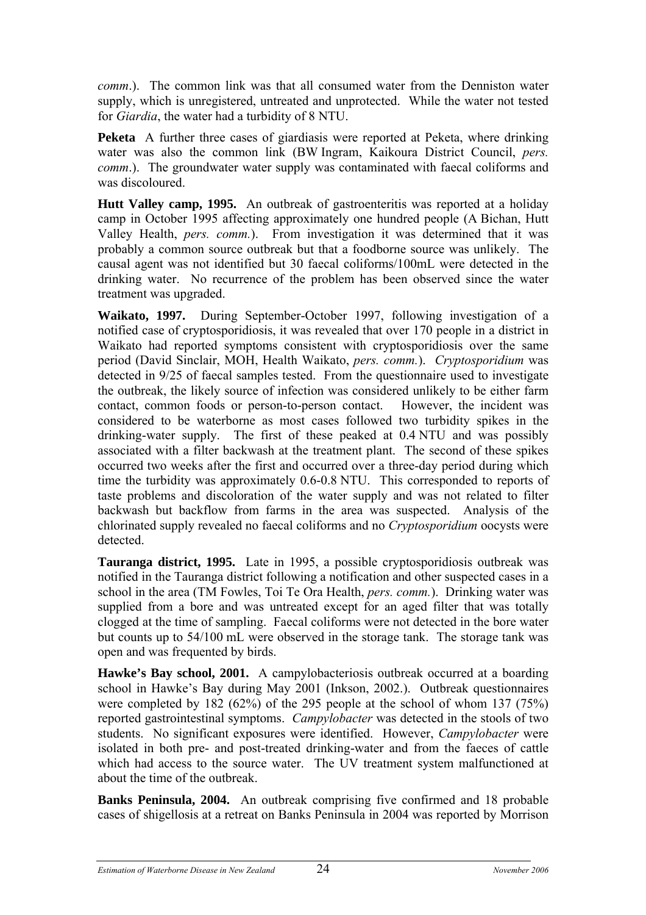*comm*.). The common link was that all consumed water from the Denniston water supply, which is unregistered, untreated and unprotected. While the water not tested for *Giardia*, the water had a turbidity of 8 NTU.

**Peketa** A further three cases of giardiasis were reported at Peketa, where drinking water was also the common link (BW Ingram, Kaikoura District Council, *pers. comm.*). The groundwater water supply was contaminated with faecal coliforms and was discoloured.

**Hutt Valley camp, 1995.** An outbreak of gastroenteritis was reported at a holiday camp in October 1995 affecting approximately one hundred people (A Bichan, Hutt Valley Health, *pers. comm.*). From investigation it was determined that it was probably a common source outbreak but that a foodborne source was unlikely. The causal agent was not identified but 30 faecal coliforms/100mL were detected in the drinking water. No recurrence of the problem has been observed since the water treatment was upgraded.

**Waikato, 1997.** During September-October 1997, following investigation of a notified case of cryptosporidiosis, it was revealed that over 170 people in a district in Waikato had reported symptoms consistent with cryptosporidiosis over the same period (David Sinclair, MOH, Health Waikato, *pers. comm.*). *Cryptosporidium* was detected in 9/25 of faecal samples tested. From the questionnaire used to investigate the outbreak, the likely source of infection was considered unlikely to be either farm contact, common foods or person-to-person contact. However, the incident was considered to be waterborne as most cases followed two turbidity spikes in the drinking-water supply. The first of these peaked at 0.4 NTU and was possibly associated with a filter backwash at the treatment plant. The second of these spikes occurred two weeks after the first and occurred over a three-day period during which time the turbidity was approximately 0.6-0.8 NTU. This corresponded to reports of taste problems and discoloration of the water supply and was not related to filter backwash but backflow from farms in the area was suspected. Analysis of the chlorinated supply revealed no faecal coliforms and no *Cryptosporidium* oocysts were detected.

**Tauranga district, 1995.** Late in 1995, a possible cryptosporidiosis outbreak was notified in the Tauranga district following a notification and other suspected cases in a school in the area (TM Fowles, Toi Te Ora Health, *pers. comm.*). Drinking water was supplied from a bore and was untreated except for an aged filter that was totally clogged at the time of sampling. Faecal coliforms were not detected in the bore water but counts up to 54/100 mL were observed in the storage tank. The storage tank was open and was frequented by birds.

**Hawke's Bay school, 2001.** A campylobacteriosis outbreak occurred at a boarding school in Hawke's Bay during May 2001 (Inkson, 2002.). Outbreak questionnaires were completed by 182 (62%) of the 295 people at the school of whom 137 (75%) reported gastrointestinal symptoms. *Campylobacter* was detected in the stools of two students. No significant exposures were identified. However, *Campylobacter* were isolated in both pre- and post-treated drinking-water and from the faeces of cattle which had access to the source water. The UV treatment system malfunctioned at about the time of the outbreak.

**Banks Peninsula, 2004.** An outbreak comprising five confirmed and 18 probable cases of shigellosis at a retreat on Banks Peninsula in 2004 was reported by Morrison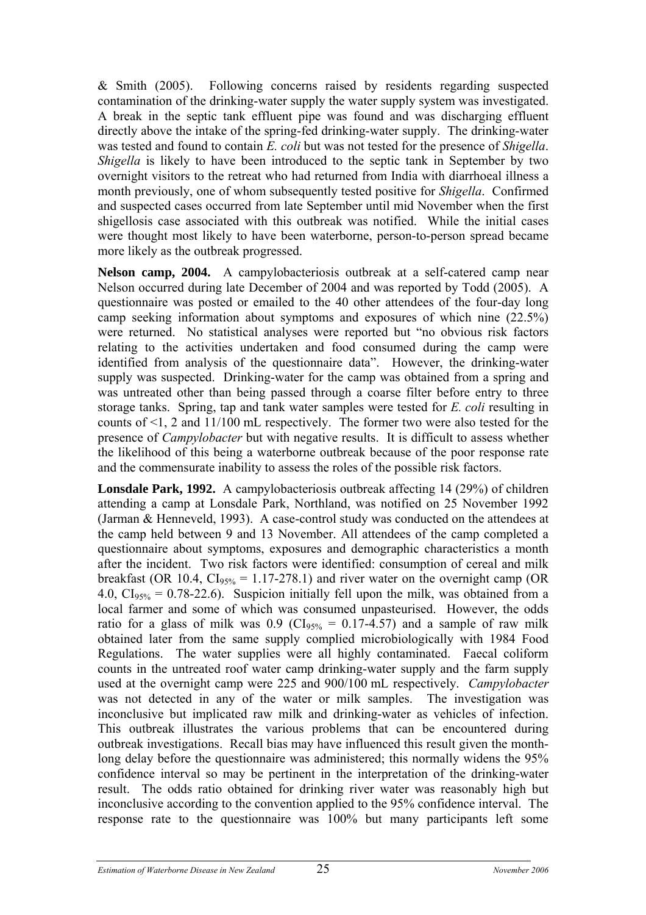& Smith (2005). Following concerns raised by residents regarding suspected contamination of the drinking-water supply the water supply system was investigated. A break in the septic tank effluent pipe was found and was discharging effluent directly above the intake of the spring-fed drinking-water supply. The drinking-water was tested and found to contain *E. coli* but was not tested for the presence of *Shigella*. *Shigella* is likely to have been introduced to the septic tank in September by two overnight visitors to the retreat who had returned from India with diarrhoeal illness a month previously, one of whom subsequently tested positive for *Shigella*. Confirmed and suspected cases occurred from late September until mid November when the first shigellosis case associated with this outbreak was notified. While the initial cases were thought most likely to have been waterborne, person-to-person spread became more likely as the outbreak progressed.

**Nelson camp, 2004.** A campylobacteriosis outbreak at a self-catered camp near Nelson occurred during late December of 2004 and was reported by Todd (2005). A questionnaire was posted or emailed to the 40 other attendees of the four-day long camp seeking information about symptoms and exposures of which nine (22.5%) were returned. No statistical analyses were reported but "no obvious risk factors relating to the activities undertaken and food consumed during the camp were identified from analysis of the questionnaire data". However, the drinking-water supply was suspected. Drinking-water for the camp was obtained from a spring and was untreated other than being passed through a coarse filter before entry to three storage tanks. Spring, tap and tank water samples were tested for *E. coli* resulting in counts of <1, 2 and 11/100 mL respectively. The former two were also tested for the presence of *Campylobacter* but with negative results. It is difficult to assess whether the likelihood of this being a waterborne outbreak because of the poor response rate and the commensurate inability to assess the roles of the possible risk factors.

**Lonsdale Park, 1992.** A campylobacteriosis outbreak affecting 14 (29%) of children attending a camp at Lonsdale Park, Northland, was notified on 25 November 1992 (Jarman & Henneveld, 1993). A case-control study was conducted on the attendees at the camp held between 9 and 13 November. All attendees of the camp completed a questionnaire about symptoms, exposures and demographic characteristics a month after the incident. Two risk factors were identified: consumption of cereal and milk breakfast (OR 10.4,  $CI<sub>95%</sub> = 1.17-278.1$ ) and river water on the overnight camp (OR 4.0,  $CI<sub>95%</sub> = 0.78-22.6$ . Suspicion initially fell upon the milk, was obtained from a local farmer and some of which was consumed unpasteurised. However, the odds ratio for a glass of milk was 0.9 ( $CI<sub>95%</sub> = 0.17-4.57$ ) and a sample of raw milk obtained later from the same supply complied microbiologically with 1984 Food Regulations. The water supplies were all highly contaminated. Faecal coliform counts in the untreated roof water camp drinking-water supply and the farm supply used at the overnight camp were 225 and 900/100 mL respectively. *Campylobacter* was not detected in any of the water or milk samples. The investigation was inconclusive but implicated raw milk and drinking-water as vehicles of infection. This outbreak illustrates the various problems that can be encountered during outbreak investigations. Recall bias may have influenced this result given the monthlong delay before the questionnaire was administered; this normally widens the 95% confidence interval so may be pertinent in the interpretation of the drinking-water result. The odds ratio obtained for drinking river water was reasonably high but inconclusive according to the convention applied to the 95% confidence interval. The response rate to the questionnaire was 100% but many participants left some